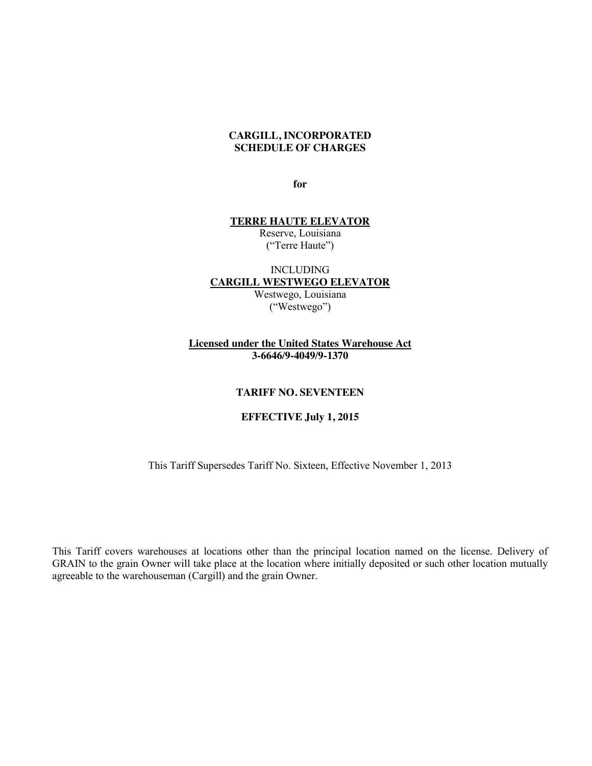#### **CARGILL, INCORPORATED SCHEDULE OF CHARGES**

**for**

#### **TERRE HAUTE ELEVATOR**

Reserve, Louisiana ("Terre Haute")

#### INCLUDING **CARGILL WESTWEGO ELEVATOR** Westwego, Louisiana

("Westwego")

# **Licensed under the United States Warehouse Act 3-6646/9-4049/9-1370**

#### **TARIFF NO. SEVENTEEN**

# **EFFECTIVE July 1, 2015**

This Tariff Supersedes Tariff No. Sixteen, Effective November 1, 2013

This Tariff covers warehouses at locations other than the principal location named on the license. Delivery of GRAIN to the grain Owner will take place at the location where initially deposited or such other location mutually agreeable to the warehouseman (Cargill) and the grain Owner.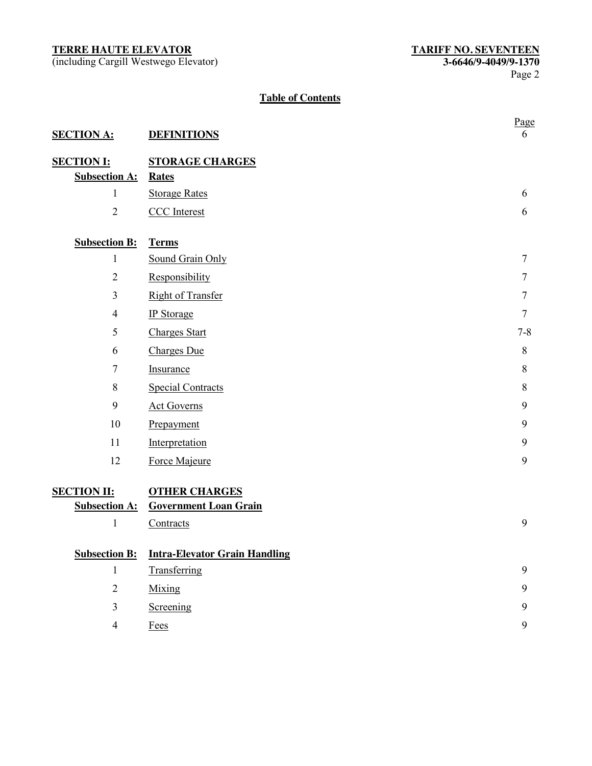(including Cargill Westwego Elevator) **3-6646/9-4049/9-1370**

# **Table of Contents**

| <b>SECTION A:</b>    | <b>DEFINITIONS</b>                   | Page<br>6      |
|----------------------|--------------------------------------|----------------|
| <b>SECTION I:</b>    | <b>STORAGE CHARGES</b>               |                |
| <b>Subsection A:</b> | <b>Rates</b>                         |                |
| $\mathbf{1}$         | <b>Storage Rates</b>                 | 6              |
| $\overline{2}$       | <b>CCC</b> Interest                  | 6              |
| <b>Subsection B:</b> | <b>Terms</b>                         |                |
| $\mathbf{1}$         | Sound Grain Only                     | $\overline{7}$ |
| $\overline{2}$       | Responsibility                       | 7              |
| $\overline{3}$       | <b>Right of Transfer</b>             | 7              |
| $\overline{4}$       | <b>IP</b> Storage                    | $\tau$         |
| 5                    | <b>Charges Start</b>                 | $7 - 8$        |
| 6                    | <b>Charges Due</b>                   | 8              |
| $\tau$               | Insurance                            | 8              |
| 8                    | <b>Special Contracts</b>             | 8              |
| 9                    | <b>Act Governs</b>                   | 9              |
| 10                   | Prepayment                           | 9              |
| 11                   | Interpretation                       | 9              |
| 12                   | Force Majeure                        | 9              |
| <b>SECTION II:</b>   | <b>OTHER CHARGES</b>                 |                |
| <b>Subsection A:</b> | <b>Government Loan Grain</b>         |                |
| $\mathbf{1}$         | Contracts                            | 9              |
| <b>Subsection B:</b> | <b>Intra-Elevator Grain Handling</b> |                |
| $\mathbf{1}$         | Transferring                         | 9              |
| $\overline{2}$       | Mixing                               | 9              |
| $\overline{3}$       | Screening                            | 9              |
| $\overline{4}$       | Fees                                 | 9              |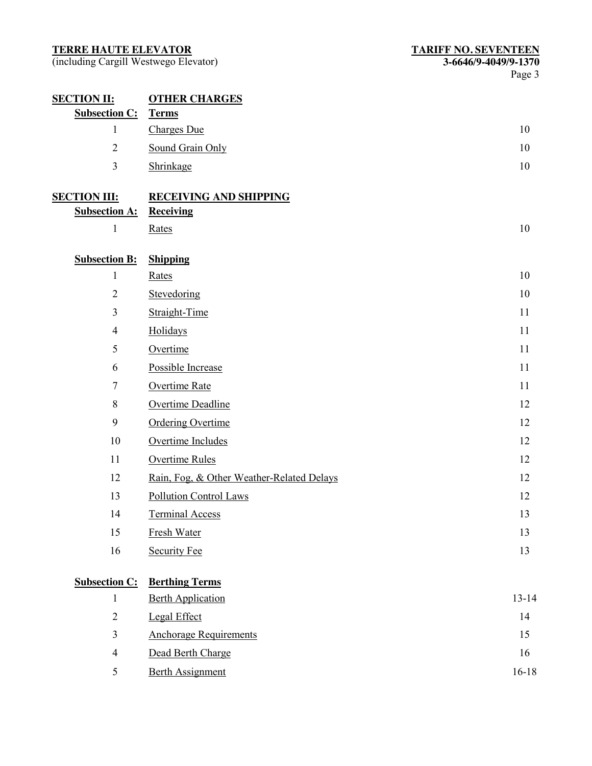| <b>SECTION II:</b>   | <b>OTHER CHARGES</b>                      |           |
|----------------------|-------------------------------------------|-----------|
| <b>Subsection C:</b> | <b>Terms</b>                              |           |
| $\mathbf{1}$         | <b>Charges Due</b>                        | 10        |
| $\overline{2}$       | Sound Grain Only                          | 10        |
| $\overline{3}$       | Shrinkage                                 | 10        |
| <b>SECTION III:</b>  | <b>RECEIVING AND SHIPPING</b>             |           |
| <b>Subsection A:</b> | <b>Receiving</b>                          |           |
| $\mathbf{1}$         | Rates                                     | 10        |
| <b>Subsection B:</b> | <b>Shipping</b>                           |           |
| $\mathbf{1}$         | Rates                                     | 10        |
| $\mathbf{2}$         | Stevedoring                               | 10        |
| $\overline{3}$       | Straight-Time                             | 11        |
| $\overline{4}$       | Holidays                                  | 11        |
| 5                    | Overtime                                  | 11        |
| 6                    | Possible Increase                         | 11        |
| $\tau$               | Overtime Rate                             | 11        |
| $8\,$                | Overtime Deadline                         | 12        |
| 9                    | <b>Ordering Overtime</b>                  | 12        |
| 10                   | Overtime Includes                         | 12        |
| 11                   | <b>Overtime Rules</b>                     | 12        |
| 12                   | Rain, Fog. & Other Weather-Related Delays | 12        |
| 13                   | Pollution Control Laws                    | 12        |
| 14                   | <b>Terminal Access</b>                    | 13        |
| 15                   | Fresh Water                               | 13        |
| 16                   | <b>Security Fee</b>                       | 13        |
| <b>Subsection C:</b> | <b>Berthing Terms</b>                     |           |
| $\mathbf{1}$         | <b>Berth Application</b>                  | $13 - 14$ |
| $\overline{2}$       | Legal Effect                              | 14        |
| $\mathfrak{Z}$       | <b>Anchorage Requirements</b>             | 15        |
| $\overline{4}$       | Dead Berth Charge                         | 16        |
| 5                    | <b>Berth Assignment</b>                   | $16 - 18$ |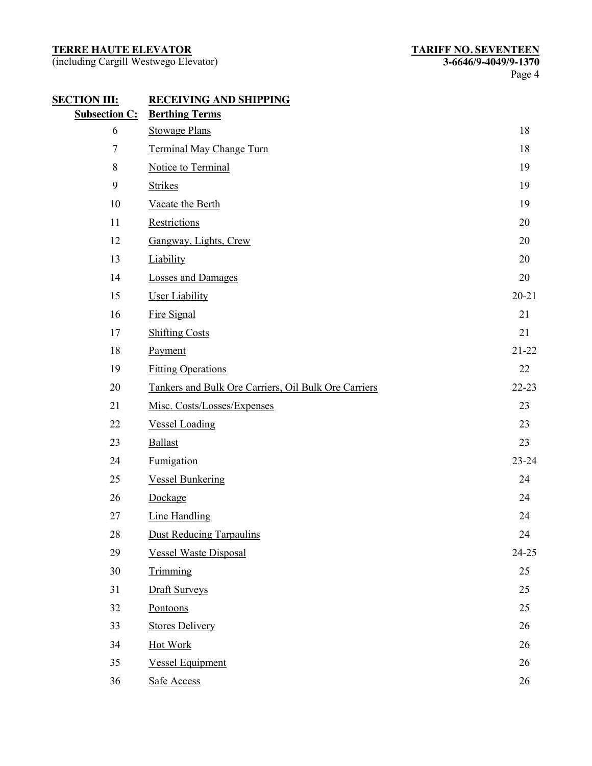| <b>SECTION III:</b>  | <b>RECEIVING AND SHIPPING</b>                        |           |
|----------------------|------------------------------------------------------|-----------|
| <b>Subsection C:</b> | <b>Berthing Terms</b>                                |           |
| 6                    | <b>Stowage Plans</b>                                 | 18        |
| $\tau$               | Terminal May Change Turn                             | 18        |
| 8                    | Notice to Terminal                                   | 19        |
| 9                    | <b>Strikes</b>                                       | 19        |
| 10                   | Vacate the Berth                                     | 19        |
| 11                   | Restrictions                                         | 20        |
| 12                   | Gangway, Lights, Crew                                | 20        |
| 13                   | Liability                                            | 20        |
| 14                   | <b>Losses and Damages</b>                            | 20        |
| 15                   | <b>User Liability</b>                                | $20 - 21$ |
| 16                   | Fire Signal                                          | 21        |
| 17                   | <b>Shifting Costs</b>                                | 21        |
| 18                   | Payment                                              | $21 - 22$ |
| 19                   | <b>Fitting Operations</b>                            | 22        |
| 20                   | Tankers and Bulk Ore Carriers, Oil Bulk Ore Carriers | $22 - 23$ |
| 21                   | Misc. Costs/Losses/Expenses                          | 23        |
| 22                   | <b>Vessel Loading</b>                                | 23        |
| 23                   | <b>Ballast</b>                                       | 23        |
| 24                   | Fumigation                                           | 23-24     |
| 25                   | <b>Vessel Bunkering</b>                              | 24        |
| 26                   | Dockage                                              | 24        |
| 27                   | <b>Line Handling</b>                                 | 24        |
| 28                   | <b>Dust Reducing Tarpaulins</b>                      | 24        |
| 29                   | <b>Vessel Waste Disposal</b>                         | 24-25     |
| 30                   | Trimming                                             | 25        |
| 31                   | <b>Draft Surveys</b>                                 | 25        |
| 32                   | Pontoons                                             | 25        |
| 33                   | <b>Stores Delivery</b>                               | 26        |
| 34                   | Hot Work                                             | 26        |
| 35                   | <b>Vessel Equipment</b>                              | 26        |
| 36                   | Safe Access                                          | 26        |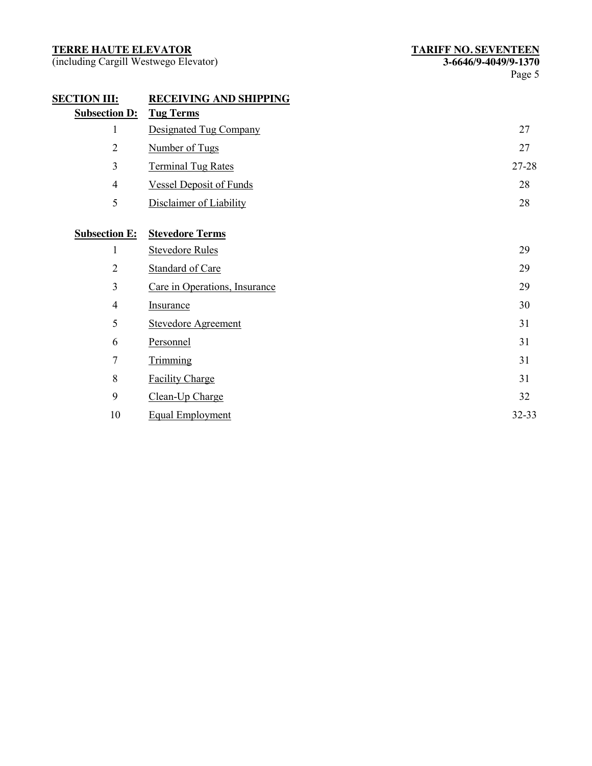| <b>RECEIVING AND SHIPPING</b>  |                        |
|--------------------------------|------------------------|
| <b>Tug Terms</b>               |                        |
| Designated Tug Company         | 27                     |
| Number of Tugs                 | 27                     |
| <b>Terminal Tug Rates</b>      | 27-28                  |
| <b>Vessel Deposit of Funds</b> | 28                     |
| Disclaimer of Liability        | 28                     |
|                                |                        |
|                                |                        |
| <b>Stevedore Rules</b>         | 29                     |
| <b>Standard of Care</b>        | 29                     |
| Care in Operations, Insurance  | 29                     |
| <b>Insurance</b>               | 30                     |
| <b>Stevedore Agreement</b>     | 31                     |
| Personnel                      | 31                     |
| Trimming                       | 31                     |
| <b>Facility Charge</b>         | 31                     |
| Clean-Up Charge                | 32                     |
| <b>Equal Employment</b>        | 32-33                  |
|                                | <b>Stevedore Terms</b> |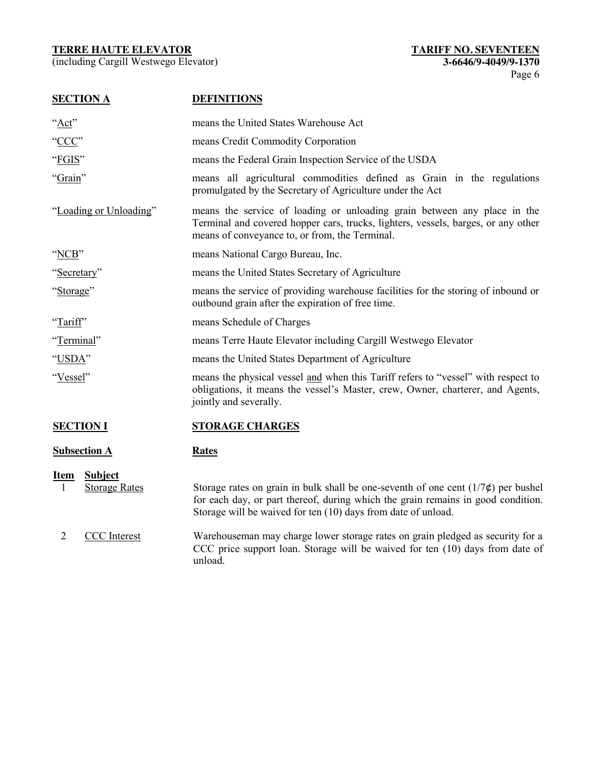| <b>SECTION A</b>                                           | <b>DEFINITIONS</b>                                                                                                                                                                                                                          |
|------------------------------------------------------------|---------------------------------------------------------------------------------------------------------------------------------------------------------------------------------------------------------------------------------------------|
| " $Act$ "                                                  | means the United States Warehouse Act                                                                                                                                                                                                       |
| "CCC"                                                      | means Credit Commodity Corporation                                                                                                                                                                                                          |
| "FGIS"                                                     | means the Federal Grain Inspection Service of the USDA                                                                                                                                                                                      |
| "Grain"                                                    | means all agricultural commodities defined as Grain in the regulations<br>promulgated by the Secretary of Agriculture under the Act                                                                                                         |
| "Loading or Unloading"                                     | means the service of loading or unloading grain between any place in the<br>Terminal and covered hopper cars, trucks, lighters, vessels, barges, or any other<br>means of conveyance to, or from, the Terminal.                             |
| "NCB"                                                      | means National Cargo Bureau, Inc.                                                                                                                                                                                                           |
| "Secretary"                                                | means the United States Secretary of Agriculture                                                                                                                                                                                            |
| "Storage"                                                  | means the service of providing warehouse facilities for the storing of inbound or<br>outbound grain after the expiration of free time.                                                                                                      |
| "Tariff"                                                   | means Schedule of Charges                                                                                                                                                                                                                   |
| "Terminal"                                                 | means Terre Haute Elevator including Cargill Westwego Elevator                                                                                                                                                                              |
| "USDA"                                                     | means the United States Department of Agriculture                                                                                                                                                                                           |
| "Vessel"                                                   | means the physical vessel and when this Tariff refers to "vessel" with respect to<br>obligations, it means the vessel's Master, crew, Owner, charterer, and Agents,<br>jointly and severally.                                               |
| <b>SECTION I</b>                                           | <b>STORAGE CHARGES</b>                                                                                                                                                                                                                      |
| <b>Subsection A</b>                                        | <b>Rates</b>                                                                                                                                                                                                                                |
| <b>Subject</b><br><b>Item</b><br><b>Storage Rates</b><br>1 | Storage rates on grain in bulk shall be one-seventh of one cent $(1/7\phi)$ per bushel<br>for each day, or part thereof, during which the grain remains in good condition.<br>Storage will be waived for ten (10) days from date of unload. |
| 2<br><b>CCC</b> Interest                                   | Warehouseman may charge lower storage rates on grain pledged as security for a<br>CCC price support loan. Storage will be waived for ten (10) days from date of<br>unload.                                                                  |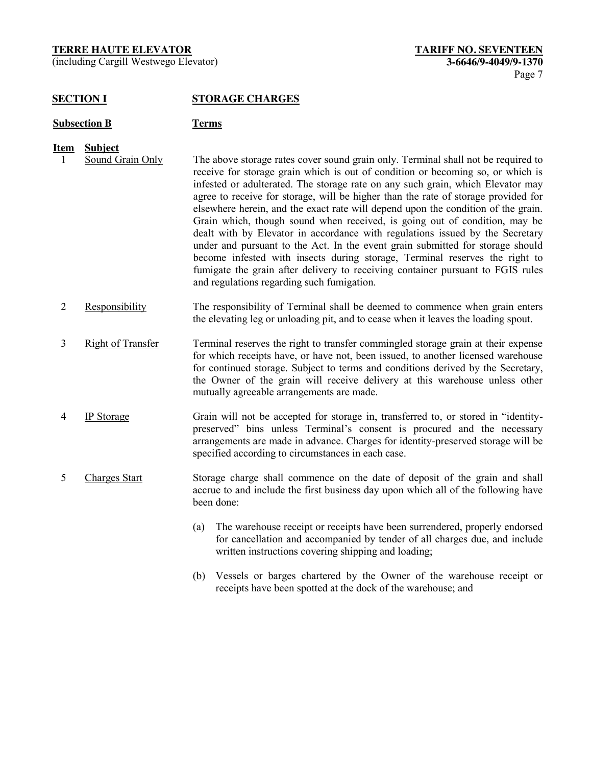(including Cargill Westwego Elevator) **3-6646/9-4049/9-1370**

# **SECTION I STORAGE CHARGES**

#### **Subsection B Terms**

- 
- **Item Subject**<br>1 **Sound Grain Only** 1 Sound Grain Only The above storage rates cover sound grain only. Terminal shall not be required to receive for storage grain which is out of condition or becoming so, or which is infested or adulterated. The storage rate on any such grain, which Elevator may agree to receive for storage, will be higher than the rate of storage provided for elsewhere herein, and the exact rate will depend upon the condition of the grain. Grain which, though sound when received, is going out of condition, may be dealt with by Elevator in accordance with regulations issued by the Secretary under and pursuant to the Act. In the event grain submitted for storage should become infested with insects during storage, Terminal reserves the right to fumigate the grain after delivery to receiving container pursuant to FGIS rules and regulations regarding such fumigation.
	- 2 Responsibility The responsibility of Terminal shall be deemed to commence when grain enters the elevating leg or unloading pit, and to cease when it leaves the loading spout.
	- 3 Right of Transfer Terminal reserves the right to transfer commingled storage grain at their expense for which receipts have, or have not, been issued, to another licensed warehouse for continued storage. Subject to terms and conditions derived by the Secretary, the Owner of the grain will receive delivery at this warehouse unless other mutually agreeable arrangements are made.
	- 4 IP Storage Grain will not be accepted for storage in, transferred to, or stored in "identitypreserved" bins unless Terminal's consent is procured and the necessary arrangements are made in advance. Charges for identity-preserved storage will be specified according to circumstances in each case.
	- 5 Charges Start Storage charge shall commence on the date of deposit of the grain and shall accrue to and include the first business day upon which all of the following have been done:
		- (a) The warehouse receipt or receipts have been surrendered, properly endorsed for cancellation and accompanied by tender of all charges due, and include written instructions covering shipping and loading;
		- (b) Vessels or barges chartered by the Owner of the warehouse receipt or receipts have been spotted at the dock of the warehouse; and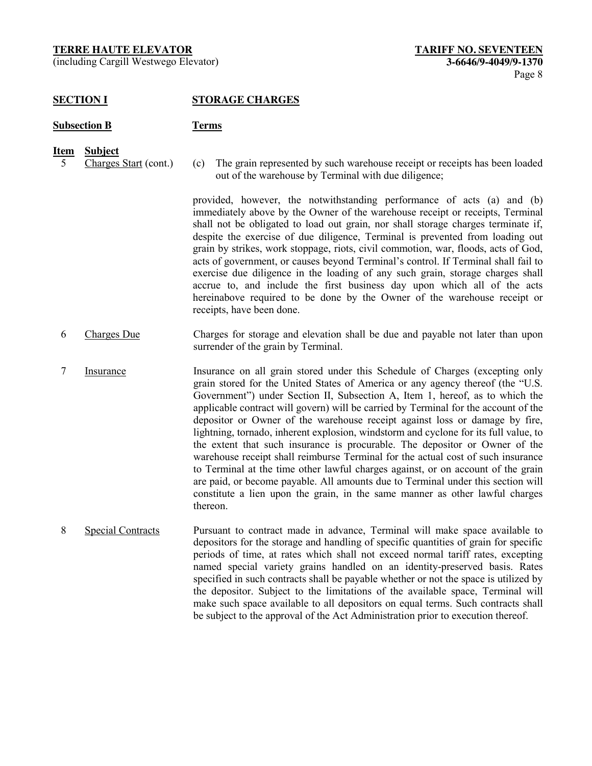(including Cargill Westwego Elevator) **3-6646/9-4049/9-1370**

# **SECTION I STORAGE CHARGES**

#### **Subsection B Terms**

- **Item Subject**
- 
- 5 Charges Start (cont.) (c) The grain represented by such warehouse receipt or receipts has been loaded out of the warehouse by Terminal with due diligence;

provided, however, the notwithstanding performance of acts (a) and (b) immediately above by the Owner of the warehouse receipt or receipts, Terminal shall not be obligated to load out grain, nor shall storage charges terminate if, despite the exercise of due diligence, Terminal is prevented from loading out grain by strikes, work stoppage, riots, civil commotion, war, floods, acts of God, acts of government, or causes beyond Terminal's control. If Terminal shall fail to exercise due diligence in the loading of any such grain, storage charges shall accrue to, and include the first business day upon which all of the acts hereinabove required to be done by the Owner of the warehouse receipt or receipts, have been done.

- 6 Charges Due Charges for storage and elevation shall be due and payable not later than upon surrender of the grain by Terminal.
- 7 Insurance Insurance on all grain stored under this Schedule of Charges (excepting only grain stored for the United States of America or any agency thereof (the "U.S. Government") under Section II, Subsection A, Item 1, hereof, as to which the applicable contract will govern) will be carried by Terminal for the account of the depositor or Owner of the warehouse receipt against loss or damage by fire, lightning, tornado, inherent explosion, windstorm and cyclone for its full value, to the extent that such insurance is procurable. The depositor or Owner of the warehouse receipt shall reimburse Terminal for the actual cost of such insurance to Terminal at the time other lawful charges against, or on account of the grain are paid, or become payable. All amounts due to Terminal under this section will constitute a lien upon the grain, in the same manner as other lawful charges thereon.
- 8 Special Contracts Pursuant to contract made in advance, Terminal will make space available to depositors for the storage and handling of specific quantities of grain for specific periods of time, at rates which shall not exceed normal tariff rates, excepting named special variety grains handled on an identity-preserved basis. Rates specified in such contracts shall be payable whether or not the space is utilized by the depositor. Subject to the limitations of the available space, Terminal will make such space available to all depositors on equal terms. Such contracts shall be subject to the approval of the Act Administration prior to execution thereof.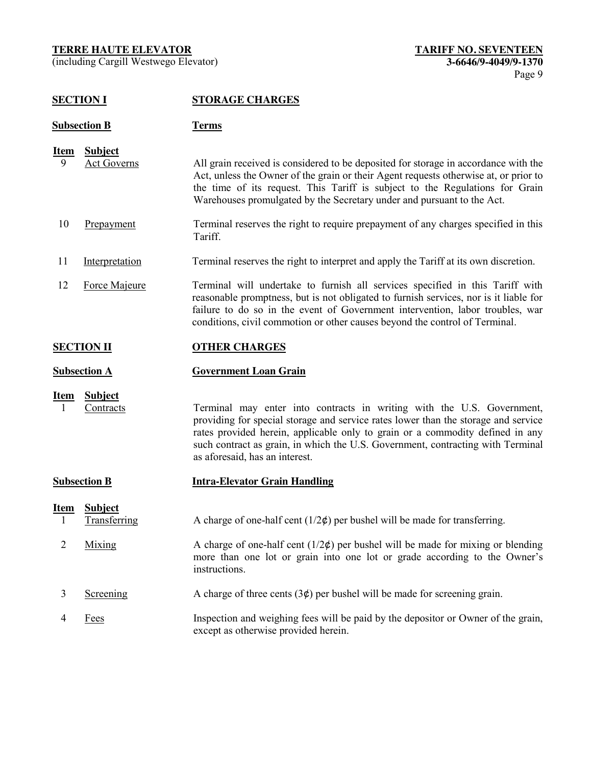(including Cargill Westwego Elevator) **3-6646/9-4049/9-1370**

# **SECTION I STORAGE CHARGES**

# **Subsection B Terms**

| Item | Subject            |                                                                                      |
|------|--------------------|--------------------------------------------------------------------------------------|
|      | <b>Act Governs</b> | All grain received is considered to be deposited for storage in accordance with the  |
|      |                    | Act, unless the Owner of the grain or their Agent requests otherwise at, or prior to |
|      |                    | the time of its request. This Tariff is subject to the Regulations for Grain         |
|      |                    | Warehouses promulgated by the Secretary under and pursuant to the Act.               |

- 10 Prepayment Terminal reserves the right to require prepayment of any charges specified in this Tariff.
- 11 Interpretation Terminal reserves the right to interpret and apply the Tariff at its own discretion.
- 12 Force Majeure Terminal will undertake to furnish all services specified in this Tariff with reasonable promptness, but is not obligated to furnish services, nor is it liable for failure to do so in the event of Government intervention, labor troubles, war conditions, civil commotion or other causes beyond the control of Terminal.

# **SECTION II OTHER CHARGES**

#### **Subsection A Government Loan Grain**

**Item Subject**

1 Contracts Terminal may enter into contracts in writing with the U.S. Government, providing for special storage and service rates lower than the storage and service rates provided herein, applicable only to grain or a commodity defined in any such contract as grain, in which the U.S. Government, contracting with Terminal as aforesaid, has an interest.

#### **Subsection B Intra-Elevator Grain Handling**

| Item | <b>Subject</b><br>Transferring | A charge of one-half cent $(1/2\phi)$ per bushel will be made for transferring.                                                                                                    |
|------|--------------------------------|------------------------------------------------------------------------------------------------------------------------------------------------------------------------------------|
|      | Mixing                         | A charge of one-half cent $(1/2\phi)$ per bushel will be made for mixing or blending<br>more than one lot or grain into one lot or grade according to the Owner's<br>instructions. |
|      | Screening                      | A charge of three cents $(3¢)$ per bushel will be made for screening grain.                                                                                                        |
|      | Fees                           | Inspection and weighing fees will be paid by the depositor or Owner of the grain,<br>except as otherwise provided herein.                                                          |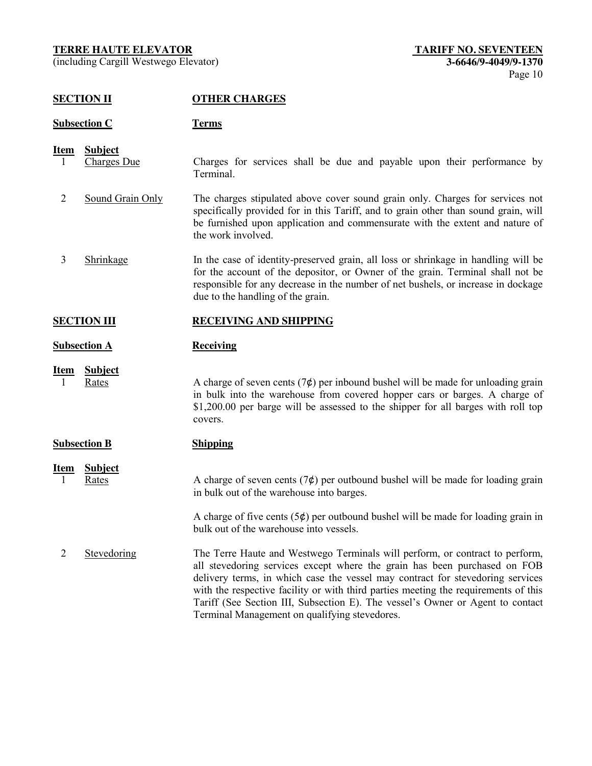(including Cargill Westwego Elevator) **3-6646/9-4049/9-1370**

# **SECTION II OTHER CHARGES**

# **Subsection C Terms**

- **Item Subject** 1 Charges Due Charges for services shall be due and payable upon their performance by Terminal.
	- 2 Sound Grain Only The charges stipulated above cover sound grain only. Charges for services not specifically provided for in this Tariff, and to grain other than sound grain, will be furnished upon application and commensurate with the extent and nature of the work involved.
- 3 Shrinkage In the case of identity-preserved grain, all loss or shrinkage in handling will be for the account of the depositor, or Owner of the grain. Terminal shall not be responsible for any decrease in the number of net bushels, or increase in dockage due to the handling of the grain.

# **SECTION III RECEIVING AND SHIPPING**

# **Subsection A Receiving**

# **Item Subject**

1 Rates A charge of seven cents  $(7¢)$  per inbound bushel will be made for unloading grain in bulk into the warehouse from covered hopper cars or barges. A charge of \$1,200.00 per barge will be assessed to the shipper for all barges with roll top covers.

| <b>Subsection B</b> |                         | <b>Shipping</b>                                                                                                                                                                                                                                                                                                                                                                                                                                                       |  |
|---------------------|-------------------------|-----------------------------------------------------------------------------------------------------------------------------------------------------------------------------------------------------------------------------------------------------------------------------------------------------------------------------------------------------------------------------------------------------------------------------------------------------------------------|--|
| <b>Item</b>         | <b>Subject</b><br>Rates | A charge of seven cents $(7¢)$ per outbound bushel will be made for loading grain<br>in bulk out of the warehouse into barges.                                                                                                                                                                                                                                                                                                                                        |  |
|                     |                         | A charge of five cents $(5¢)$ per outbound bushel will be made for loading grain in<br>bulk out of the warehouse into vessels.                                                                                                                                                                                                                                                                                                                                        |  |
|                     | Stevedoring             | The Terre Haute and Westwego Terminals will perform, or contract to perform,<br>all stevedoring services except where the grain has been purchased on FOB<br>delivery terms, in which case the vessel may contract for stevedoring services<br>with the respective facility or with third parties meeting the requirements of this<br>Tariff (See Section III, Subsection E). The vessel's Owner or Agent to contact<br>Terminal Management on qualifying stevedores. |  |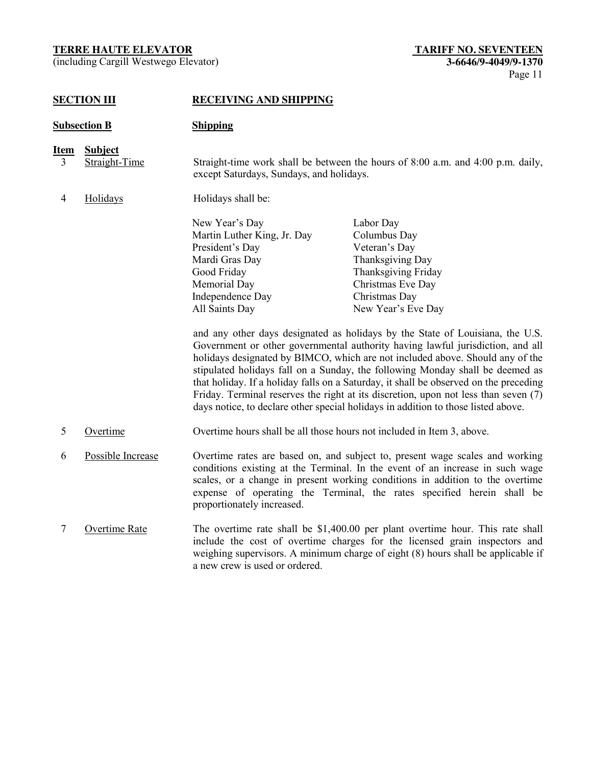(including Cargill Westwego Elevator) **3-6646/9-4049/9-1370**

# **SECTION III RECEIVING AND SHIPPING**

| <b>Subsection B</b> |                                 | <b>Shipping</b>                                                                                                                                         |                                                                                                                                                                                                                                                                                                                                                                                                                                                                                                                                                                                                                                                                                                                                                                    |
|---------------------|---------------------------------|---------------------------------------------------------------------------------------------------------------------------------------------------------|--------------------------------------------------------------------------------------------------------------------------------------------------------------------------------------------------------------------------------------------------------------------------------------------------------------------------------------------------------------------------------------------------------------------------------------------------------------------------------------------------------------------------------------------------------------------------------------------------------------------------------------------------------------------------------------------------------------------------------------------------------------------|
| <u>Item</u><br>3    | <b>Subject</b><br>Straight-Time | except Saturdays, Sundays, and holidays.                                                                                                                | Straight-time work shall be between the hours of $8:00$ a.m. and $4:00$ p.m. daily,                                                                                                                                                                                                                                                                                                                                                                                                                                                                                                                                                                                                                                                                                |
| 4                   | Holidays                        | Holidays shall be:                                                                                                                                      |                                                                                                                                                                                                                                                                                                                                                                                                                                                                                                                                                                                                                                                                                                                                                                    |
|                     |                                 | New Year's Day<br>Martin Luther King, Jr. Day<br>President's Day<br>Mardi Gras Day<br>Good Friday<br>Memorial Day<br>Independence Day<br>All Saints Day | Labor Day<br>Columbus Day<br>Veteran's Day<br>Thanksgiving Day<br><b>Thanksgiving Friday</b><br>Christmas Eve Day<br>Christmas Day<br>New Year's Eve Day<br>and any other days designated as holidays by the State of Louisiana, the U.S.<br>Government or other governmental authority having lawful jurisdiction, and all<br>holidays designated by BIMCO, which are not included above. Should any of the<br>stipulated holidays fall on a Sunday, the following Monday shall be deemed as<br>that holiday. If a holiday falls on a Saturday, it shall be observed on the preceding<br>Friday. Terminal reserves the right at its discretion, upon not less than seven (7)<br>days notice, to declare other special holidays in addition to those listed above. |
| 5                   | Overtime                        | Overtime hours shall be all those hours not included in Item 3, above.                                                                                  |                                                                                                                                                                                                                                                                                                                                                                                                                                                                                                                                                                                                                                                                                                                                                                    |
| 6                   | Possible Increase               | proportionately increased.                                                                                                                              | Overtime rates are based on, and subject to, present wage scales and working<br>conditions existing at the Terminal. In the event of an increase in such wage<br>scales, or a change in present working conditions in addition to the overtime<br>expense of operating the Terminal, the rates specified herein shall be                                                                                                                                                                                                                                                                                                                                                                                                                                           |
| 7                   | Overtime Rate                   | a new crew is used or ordered.                                                                                                                          | The overtime rate shall be \$1,400.00 per plant overtime hour. This rate shall<br>include the cost of overtime charges for the licensed grain inspectors and<br>weighing supervisors. A minimum charge of eight (8) hours shall be applicable if                                                                                                                                                                                                                                                                                                                                                                                                                                                                                                                   |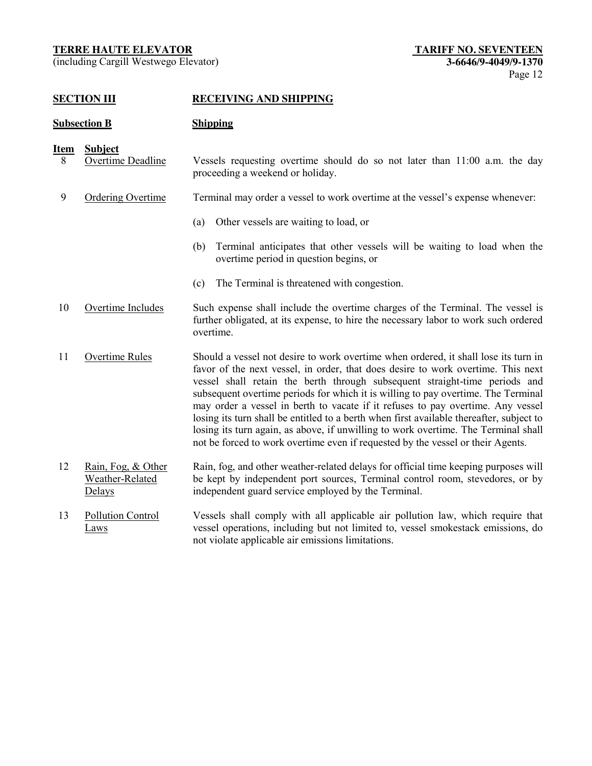(including Cargill Westwego Elevator) **3-6646/9-4049/9-1370**

# **SECTION III RECEIVING AND SHIPPING**

#### **Subsection B Shipping**

**Item Subject**

- 8 Overtime Deadline Vessels requesting overtime should do so not later than 11:00 a.m. the day proceeding a weekend or holiday.
- 9 Ordering Overtime Terminal may order a vessel to work overtime at the vessel's expense whenever:
	- (a) Other vessels are waiting to load, or
	- (b) Terminal anticipates that other vessels will be waiting to load when the overtime period in question begins, or
	- (c) The Terminal is threatened with congestion.
- 10 Overtime Includes Such expense shall include the overtime charges of the Terminal. The vessel is further obligated, at its expense, to hire the necessary labor to work such ordered overtime.
- 11 Overtime Rules Should a vessel not desire to work overtime when ordered, it shall lose its turn in favor of the next vessel, in order, that does desire to work overtime. This next vessel shall retain the berth through subsequent straight-time periods and subsequent overtime periods for which it is willing to pay overtime. The Terminal may order a vessel in berth to vacate if it refuses to pay overtime. Any vessel losing its turn shall be entitled to a berth when first available thereafter, subject to losing its turn again, as above, if unwilling to work overtime. The Terminal shall not be forced to work overtime even if requested by the vessel or their Agents.
- 12 Rain, Fog, & Other Weather-Related Delays Rain, fog, and other weather-related delays for official time keeping purposes will be kept by independent port sources, Terminal control room, stevedores, or by independent guard service employed by the Terminal.
- 13 Pollution Control Laws Vessels shall comply with all applicable air pollution law, which require that vessel operations, including but not limited to, vessel smokestack emissions, do not violate applicable air emissions limitations.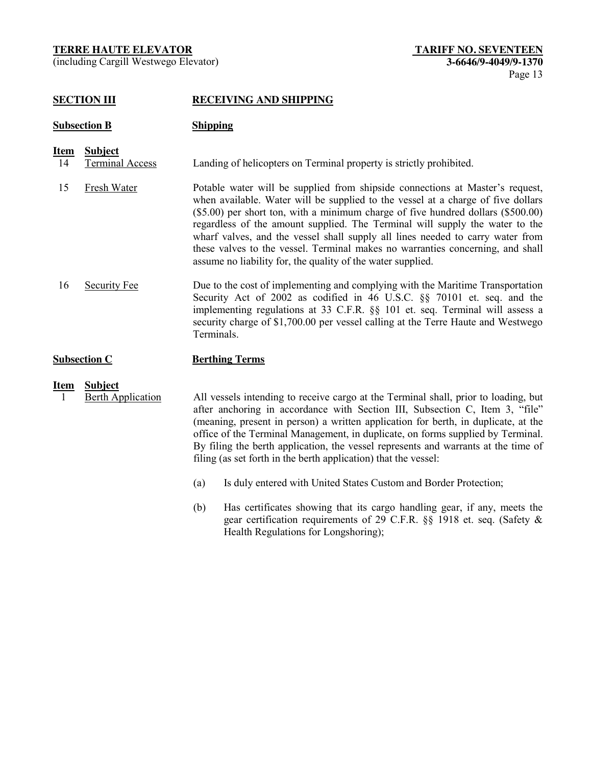(including Cargill Westwego Elevator) **3-6646/9-4049/9-1370**

# **SECTION III RECEIVING AND SHIPPING**

# **Subsection B Shipping**

**Item Subject** 14 Terminal Access Landing of helicopters on Terminal property is strictly prohibited.

- 15 Fresh Water Potable water will be supplied from shipside connections at Master's request, when available. Water will be supplied to the vessel at a charge of five dollars (\$5.00) per short ton, with a minimum charge of five hundred dollars (\$500.00) regardless of the amount supplied. The Terminal will supply the water to the wharf valves, and the vessel shall supply all lines needed to carry water from these valves to the vessel. Terminal makes no warranties concerning, and shall assume no liability for, the quality of the water supplied.
- 16 Security Fee Due to the cost of implementing and complying with the Maritime Transportation Security Act of 2002 as codified in 46 U.S.C. §§ 70101 et. seq. and the implementing regulations at 33 C.F.R. §§ 101 et. seq. Terminal will assess a security charge of \$1,700.00 per vessel calling at the Terre Haute and Westwego Terminals.

# **Subsection C Berthing Terms**

**Item Subject**

1 Berth Application All vessels intending to receive cargo at the Terminal shall, prior to loading, but after anchoring in accordance with Section III, Subsection C, Item 3, "file" (meaning, present in person) a written application for berth, in duplicate, at the office of the Terminal Management, in duplicate, on forms supplied by Terminal. By filing the berth application, the vessel represents and warrants at the time of filing (as set forth in the berth application) that the vessel:

- (a) Is duly entered with United States Custom and Border Protection;
- (b) Has certificates showing that its cargo handling gear, if any, meets the gear certification requirements of 29 C.F.R. §§ 1918 et. seq. (Safety & Health Regulations for Longshoring);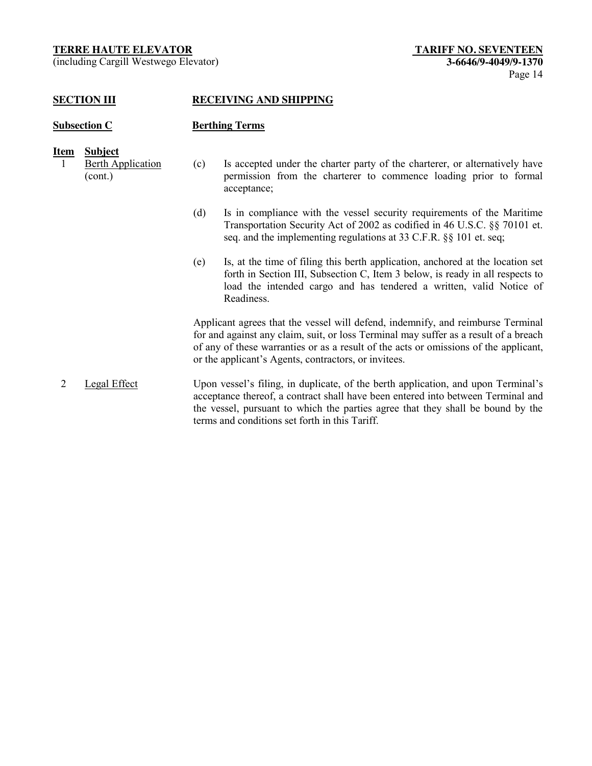(including Cargill Westwego Elevator) **3-6646/9-4049/9-1370**

#### **SECTION III RECEIVING AND SHIPPING**

# **Subsection C Berthing Terms**

| Item | <b>Subject</b>           |
|------|--------------------------|
|      | <b>Berth Application</b> |
|      | (cont.)                  |

- (c) Is accepted under the charter party of the charterer, or alternatively have permission from the charterer to commence loading prior to formal acceptance;
	- (d) Is in compliance with the vessel security requirements of the Maritime Transportation Security Act of 2002 as codified in 46 U.S.C. §§ 70101 et. seq. and the implementing regulations at 33 C.F.R. §§ 101 et. seq;
	- (e) Is, at the time of filing this berth application, anchored at the location set forth in Section III, Subsection C, Item 3 below, is ready in all respects to load the intended cargo and has tendered a written, valid Notice of Readiness.

Applicant agrees that the vessel will defend, indemnify, and reimburse Terminal for and against any claim, suit, or loss Terminal may suffer as a result of a breach of any of these warranties or as a result of the acts or omissions of the applicant, or the applicant's Agents, contractors, or invitees.

2 Legal Effect Upon vessel's filing, in duplicate, of the berth application, and upon Terminal's acceptance thereof, a contract shall have been entered into between Terminal and the vessel, pursuant to which the parties agree that they shall be bound by the terms and conditions set forth in this Tariff.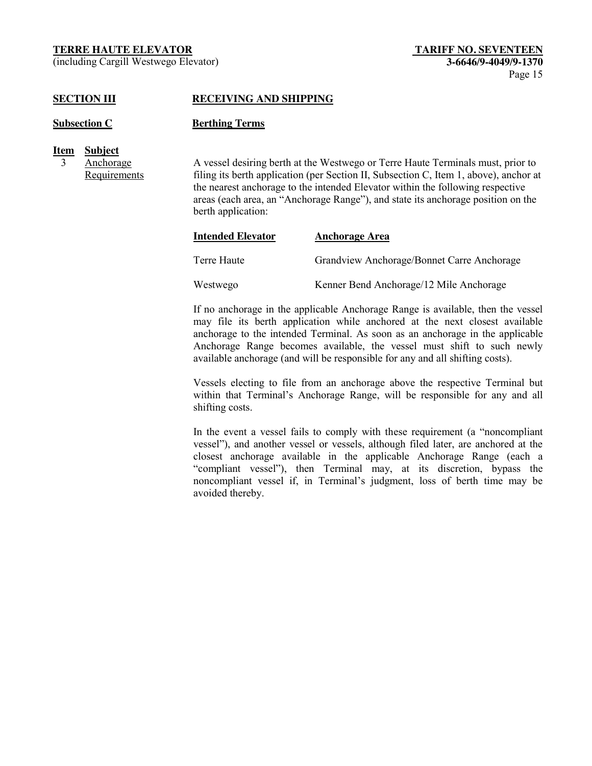(including Cargill Westwego Elevator) **3-6646/9-4049/9-1370**

# **SECTION III RECEIVING AND SHIPPING**

#### **Subsection C Berthing Terms**

- **Item Subject**
	- 3 Anchorage **Requirements**

A vessel desiring berth at the Westwego or Terre Haute Terminals must, prior to filing its berth application (per Section II, Subsection C, Item 1, above), anchor at the nearest anchorage to the intended Elevator within the following respective areas (each area, an "Anchorage Range"), and state its anchorage position on the berth application:

| <b>Intended Elevator</b> | <b>Anchorage Area</b>                      |
|--------------------------|--------------------------------------------|
| Terre Haute              | Grandview Anchorage/Bonnet Carre Anchorage |
| Westwego                 | Kenner Bend Anchorage/12 Mile Anchorage    |

If no anchorage in the applicable Anchorage Range is available, then the vessel may file its berth application while anchored at the next closest available anchorage to the intended Terminal. As soon as an anchorage in the applicable Anchorage Range becomes available, the vessel must shift to such newly available anchorage (and will be responsible for any and all shifting costs).

Vessels electing to file from an anchorage above the respective Terminal but within that Terminal's Anchorage Range, will be responsible for any and all shifting costs.

In the event a vessel fails to comply with these requirement (a "noncompliant vessel"), and another vessel or vessels, although filed later, are anchored at the closest anchorage available in the applicable Anchorage Range (each a "compliant vessel"), then Terminal may, at its discretion, bypass the noncompliant vessel if, in Terminal's judgment, loss of berth time may be avoided thereby.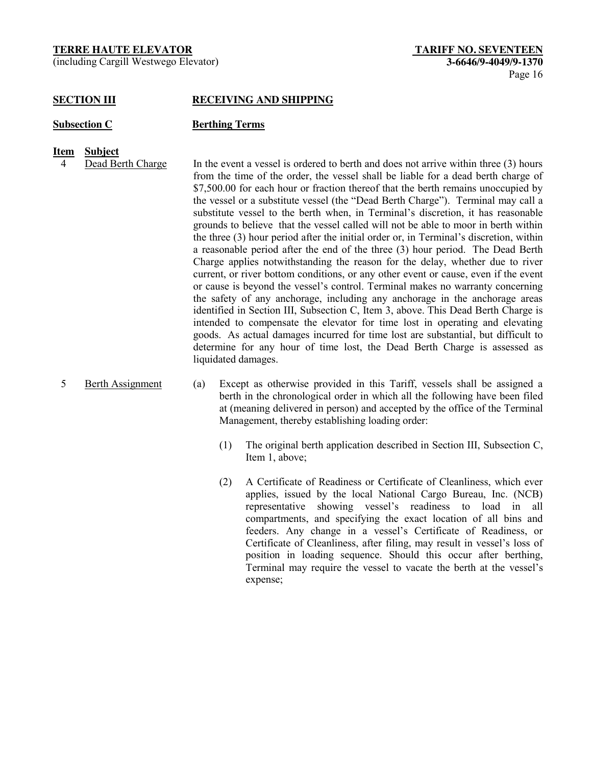(including Cargill Westwego Elevator) **3-6646/9-4049/9-1370**

#### **SECTION III RECEIVING AND SHIPPING**

#### **Subsection C Berthing Terms**

- **Item Subject**
	- 4 Dead Berth Charge In the event a vessel is ordered to berth and does not arrive within three (3) hours from the time of the order, the vessel shall be liable for a dead berth charge of \$7,500.00 for each hour or fraction thereof that the berth remains unoccupied by the vessel or a substitute vessel (the "Dead Berth Charge"). Terminal may call a substitute vessel to the berth when, in Terminal's discretion, it has reasonable grounds to believe that the vessel called will not be able to moor in berth within the three (3) hour period after the initial order or, in Terminal's discretion, within a reasonable period after the end of the three (3) hour period. The Dead Berth Charge applies notwithstanding the reason for the delay, whether due to river current, or river bottom conditions, or any other event or cause, even if the event or cause is beyond the vessel's control. Terminal makes no warranty concerning the safety of any anchorage, including any anchorage in the anchorage areas identified in Section III, Subsection C, Item 3, above. This Dead Berth Charge is intended to compensate the elevator for time lost in operating and elevating goods. As actual damages incurred for time lost are substantial, but difficult to determine for any hour of time lost, the Dead Berth Charge is assessed as liquidated damages.
	-
	- 5 Berth Assignment (a) Except as otherwise provided in this Tariff, vessels shall be assigned a berth in the chronological order in which all the following have been filed at (meaning delivered in person) and accepted by the office of the Terminal Management, thereby establishing loading order:
		- (1) The original berth application described in Section III, Subsection C, Item 1, above;
		- (2) A Certificate of Readiness or Certificate of Cleanliness, which ever applies, issued by the local National Cargo Bureau, Inc. (NCB) representative showing vessel's readiness to load in all compartments, and specifying the exact location of all bins and feeders. Any change in a vessel's Certificate of Readiness, or Certificate of Cleanliness, after filing, may result in vessel's loss of position in loading sequence. Should this occur after berthing, Terminal may require the vessel to vacate the berth at the vessel's expense;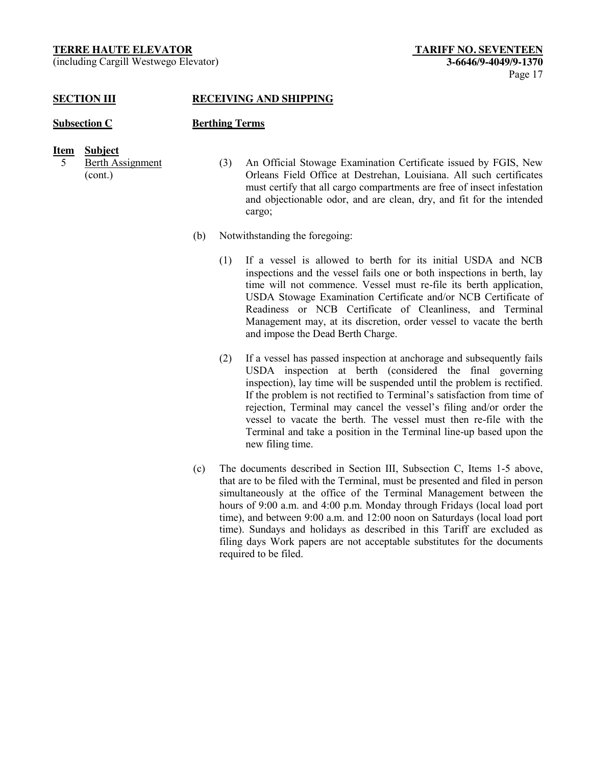(including Cargill Westwego Elevator) **3-6646/9-4049/9-1370**

# **SECTION III RECEIVING AND SHIPPING**

# **Subsection C Berthing Terms**

# **Item Subject**

- 5 Berth Assignment (cont.)
- (3) An Official Stowage Examination Certificate issued by FGIS, New Orleans Field Office at Destrehan, Louisiana. All such certificates must certify that all cargo compartments are free of insect infestation and objectionable odor, and are clean, dry, and fit for the intended cargo;
- (b) Notwithstanding the foregoing:
	- (1) If a vessel is allowed to berth for its initial USDA and NCB inspections and the vessel fails one or both inspections in berth, lay time will not commence. Vessel must re-file its berth application, USDA Stowage Examination Certificate and/or NCB Certificate of Readiness or NCB Certificate of Cleanliness, and Terminal Management may, at its discretion, order vessel to vacate the berth and impose the Dead Berth Charge.
	- (2) If a vessel has passed inspection at anchorage and subsequently fails USDA inspection at berth (considered the final governing inspection), lay time will be suspended until the problem is rectified. If the problem is not rectified to Terminal's satisfaction from time of rejection, Terminal may cancel the vessel's filing and/or order the vessel to vacate the berth. The vessel must then re-file with the Terminal and take a position in the Terminal line-up based upon the new filing time.
- (c) The documents described in Section III, Subsection C, Items 1-5 above, that are to be filed with the Terminal, must be presented and filed in person simultaneously at the office of the Terminal Management between the hours of 9:00 a.m. and 4:00 p.m. Monday through Fridays (local load port time), and between 9:00 a.m. and 12:00 noon on Saturdays (local load port time). Sundays and holidays as described in this Tariff are excluded as filing days Work papers are not acceptable substitutes for the documents required to be filed.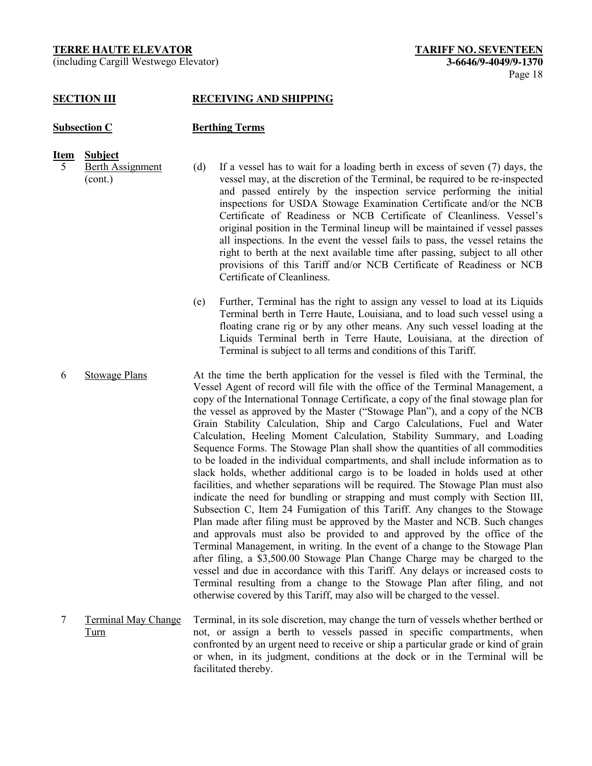(including Cargill Westwego Elevator) **3-6646/9-4049/9-1370**

#### **SECTION III RECEIVING AND SHIPPING**

#### **Subsection C Berthing Terms**

**Item Subject**

5 Berth Assignment

(cont.)

(d) If a vessel has to wait for a loading berth in excess of seven (7) days, the vessel may, at the discretion of the Terminal, be required to be re-inspected and passed entirely by the inspection service performing the initial inspections for USDA Stowage Examination Certificate and/or the NCB Certificate of Readiness or NCB Certificate of Cleanliness. Vessel's original position in the Terminal lineup will be maintained if vessel passes all inspections. In the event the vessel fails to pass, the vessel retains the right to berth at the next available time after passing, subject to all other provisions of this Tariff and/or NCB Certificate of Readiness or NCB Certificate of Cleanliness.

(e) Further, Terminal has the right to assign any vessel to load at its Liquids Terminal berth in Terre Haute, Louisiana, and to load such vessel using a floating crane rig or by any other means. Any such vessel loading at the Liquids Terminal berth in Terre Haute, Louisiana, at the direction of Terminal is subject to all terms and conditions of this Tariff.

- 6 Stowage Plans At the time the berth application for the vessel is filed with the Terminal, the Vessel Agent of record will file with the office of the Terminal Management, a copy of the International Tonnage Certificate, a copy of the final stowage plan for the vessel as approved by the Master ("Stowage Plan"), and a copy of the NCB Grain Stability Calculation, Ship and Cargo Calculations, Fuel and Water Calculation, Heeling Moment Calculation, Stability Summary, and Loading Sequence Forms. The Stowage Plan shall show the quantities of all commodities to be loaded in the individual compartments, and shall include information as to slack holds, whether additional cargo is to be loaded in holds used at other facilities, and whether separations will be required. The Stowage Plan must also indicate the need for bundling or strapping and must comply with Section III, Subsection C, Item 24 Fumigation of this Tariff. Any changes to the Stowage Plan made after filing must be approved by the Master and NCB. Such changes and approvals must also be provided to and approved by the office of the Terminal Management, in writing. In the event of a change to the Stowage Plan after filing, a \$3,500.00 Stowage Plan Change Charge may be charged to the vessel and due in accordance with this Tariff. Any delays or increased costs to Terminal resulting from a change to the Stowage Plan after filing, and not otherwise covered by this Tariff, may also will be charged to the vessel.
- 7 Terminal May Change Turn Terminal, in its sole discretion, may change the turn of vessels whether berthed or not, or assign a berth to vessels passed in specific compartments, when confronted by an urgent need to receive or ship a particular grade or kind of grain or when, in its judgment, conditions at the dock or in the Terminal will be facilitated thereby.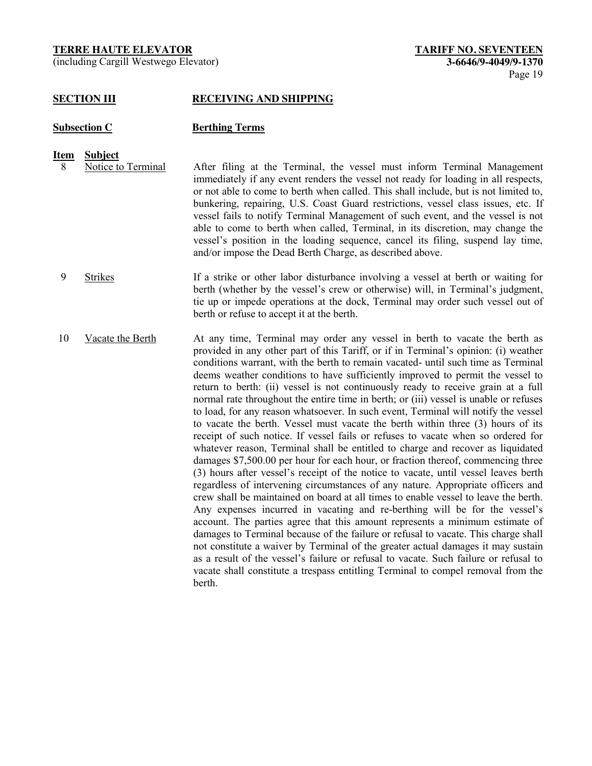(including Cargill Westwego Elevator) **3-6646/9-4049/9-1370**

#### **SECTION III RECEIVING AND SHIPPING**

#### **Subsection C Berthing Terms**

- 
- **<u>Item Subject</u>**<br>8 Notice to Terminal 8 Notice to Terminal After filing at the Terminal, the vessel must inform Terminal Management immediately if any event renders the vessel not ready for loading in all respects, or not able to come to berth when called. This shall include, but is not limited to, bunkering, repairing, U.S. Coast Guard restrictions, vessel class issues, etc. If vessel fails to notify Terminal Management of such event, and the vessel is not able to come to berth when called, Terminal, in its discretion, may change the vessel's position in the loading sequence, cancel its filing, suspend lay time, and/or impose the Dead Berth Charge, as described above.
	- 9 Strikes If a strike or other labor disturbance involving a vessel at berth or waiting for berth (whether by the vessel's crew or otherwise) will, in Terminal's judgment, tie up or impede operations at the dock, Terminal may order such vessel out of berth or refuse to accept it at the berth.
- 10 Vacate the Berth At any time, Terminal may order any vessel in berth to vacate the berth as provided in any other part of this Tariff, or if in Terminal's opinion: (i) weather conditions warrant, with the berth to remain vacated- until such time as Terminal deems weather conditions to have sufficiently improved to permit the vessel to return to berth: (ii) vessel is not continuously ready to receive grain at a full normal rate throughout the entire time in berth; or (iii) vessel is unable or refuses to load, for any reason whatsoever. In such event, Terminal will notify the vessel to vacate the berth. Vessel must vacate the berth within three (3) hours of its receipt of such notice. If vessel fails or refuses to vacate when so ordered for whatever reason, Terminal shall be entitled to charge and recover as liquidated damages \$7,500.00 per hour for each hour, or fraction thereof, commencing three (3) hours after vessel's receipt of the notice to vacate, until vessel leaves berth regardless of intervening circumstances of any nature. Appropriate officers and crew shall be maintained on board at all times to enable vessel to leave the berth. Any expenses incurred in vacating and re-berthing will be for the vessel's account. The parties agree that this amount represents a minimum estimate of damages to Terminal because of the failure or refusal to vacate. This charge shall not constitute a waiver by Terminal of the greater actual damages it may sustain as a result of the vessel's failure or refusal to vacate. Such failure or refusal to vacate shall constitute a trespass entitling Terminal to compel removal from the berth.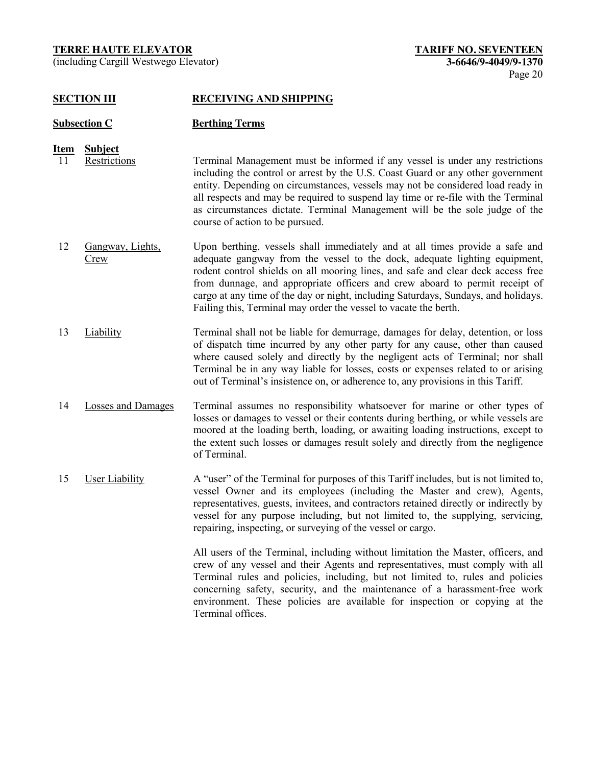(including Cargill Westwego Elevator) **3-6646/9-4049/9-1370**

#### **SECTION III RECEIVING AND SHIPPING**

# **Subsection C Berthing Terms**

# **Item Subject**

- 11 Restrictions Terminal Management must be informed if any vessel is under any restrictions including the control or arrest by the U.S. Coast Guard or any other government entity. Depending on circumstances, vessels may not be considered load ready in all respects and may be required to suspend lay time or re-file with the Terminal as circumstances dictate. Terminal Management will be the sole judge of the course of action to be pursued.
- 12 Gangway, Lights, Crew Upon berthing, vessels shall immediately and at all times provide a safe and adequate gangway from the vessel to the dock, adequate lighting equipment, rodent control shields on all mooring lines, and safe and clear deck access free from dunnage, and appropriate officers and crew aboard to permit receipt of cargo at any time of the day or night, including Saturdays, Sundays, and holidays. Failing this, Terminal may order the vessel to vacate the berth.
- 13 Liability Terminal shall not be liable for demurrage, damages for delay, detention, or loss of dispatch time incurred by any other party for any cause, other than caused where caused solely and directly by the negligent acts of Terminal; nor shall Terminal be in any way liable for losses, costs or expenses related to or arising out of Terminal's insistence on, or adherence to, any provisions in this Tariff.
- 14 Losses and Damages Terminal assumes no responsibility whatsoever for marine or other types of losses or damages to vessel or their contents during berthing, or while vessels are moored at the loading berth, loading, or awaiting loading instructions, except to the extent such losses or damages result solely and directly from the negligence of Terminal.
- 15 User Liability A "user" of the Terminal for purposes of this Tariff includes, but is not limited to, vessel Owner and its employees (including the Master and crew), Agents, representatives, guests, invitees, and contractors retained directly or indirectly by vessel for any purpose including, but not limited to, the supplying, servicing, repairing, inspecting, or surveying of the vessel or cargo.

All users of the Terminal, including without limitation the Master, officers, and crew of any vessel and their Agents and representatives, must comply with all Terminal rules and policies, including, but not limited to, rules and policies concerning safety, security, and the maintenance of a harassment-free work environment. These policies are available for inspection or copying at the Terminal offices.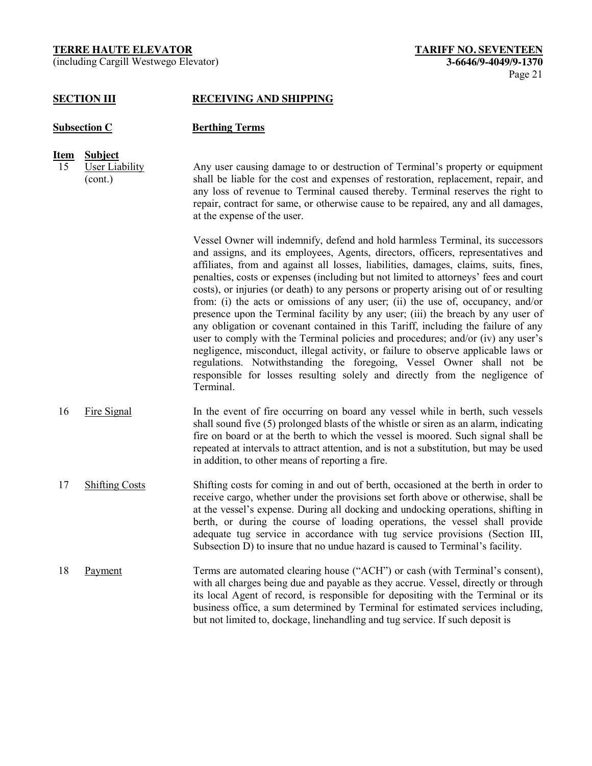(including Cargill Westwego Elevator) **3-6646/9-4049/9-1370**

#### **SECTION III RECEIVING AND SHIPPING**

# **Subsection C Berthing Terms**

# **Item Subject**

15 User Liability (cont.)

Any user causing damage to or destruction of Terminal's property or equipment shall be liable for the cost and expenses of restoration, replacement, repair, and any loss of revenue to Terminal caused thereby. Terminal reserves the right to repair, contract for same, or otherwise cause to be repaired, any and all damages, at the expense of the user.

Vessel Owner will indemnify, defend and hold harmless Terminal, its successors and assigns, and its employees, Agents, directors, officers, representatives and affiliates, from and against all losses, liabilities, damages, claims, suits, fines, penalties, costs or expenses (including but not limited to attorneys' fees and court costs), or injuries (or death) to any persons or property arising out of or resulting from: (i) the acts or omissions of any user; (ii) the use of, occupancy, and/or presence upon the Terminal facility by any user; (iii) the breach by any user of any obligation or covenant contained in this Tariff, including the failure of any user to comply with the Terminal policies and procedures; and/or (iv) any user's negligence, misconduct, illegal activity, or failure to observe applicable laws or regulations. Notwithstanding the foregoing, Vessel Owner shall not be responsible for losses resulting solely and directly from the negligence of Terminal.

- 16 Fire Signal In the event of fire occurring on board any vessel while in berth, such vessels shall sound five (5) prolonged blasts of the whistle or siren as an alarm, indicating fire on board or at the berth to which the vessel is moored. Such signal shall be repeated at intervals to attract attention, and is not a substitution, but may be used in addition, to other means of reporting a fire.
- 17 Shifting Costs Shifting costs for coming in and out of berth, occasioned at the berth in order to receive cargo, whether under the provisions set forth above or otherwise, shall be at the vessel's expense. During all docking and undocking operations, shifting in berth, or during the course of loading operations, the vessel shall provide adequate tug service in accordance with tug service provisions (Section III, Subsection D) to insure that no undue hazard is caused to Terminal's facility.
- 18 Payment Terms are automated clearing house ("ACH") or cash (with Terminal's consent), with all charges being due and payable as they accrue. Vessel, directly or through its local Agent of record, is responsible for depositing with the Terminal or its business office, a sum determined by Terminal for estimated services including, but not limited to, dockage, linehandling and tug service. If such deposit is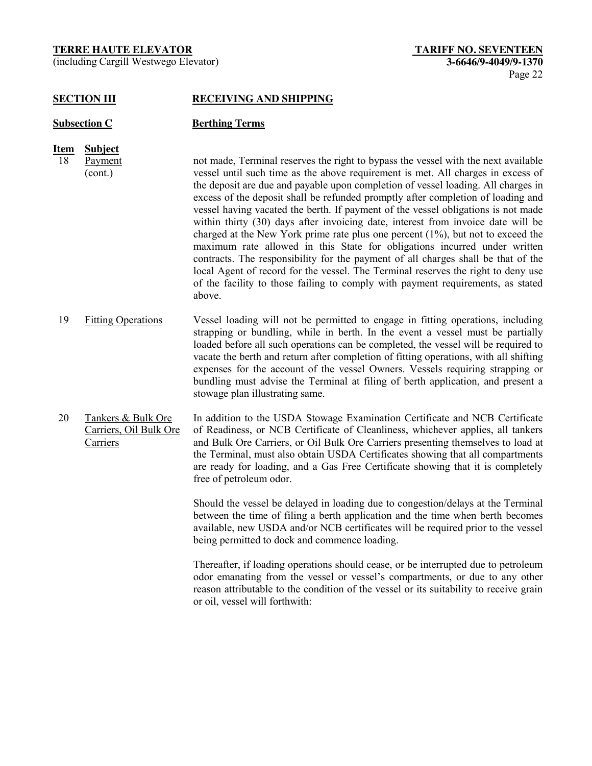(including Cargill Westwego Elevator) **3-6646/9-4049/9-1370**

#### **SECTION III RECEIVING AND SHIPPING**

| <b>Subsection C</b> |                                      | <b>Berthing Terms</b>                                                                                                                                                                                                                                                                                                                                                                                                                                                                                                                                                                                                                                                                                                                                                                                                                                                                                                                                               |
|---------------------|--------------------------------------|---------------------------------------------------------------------------------------------------------------------------------------------------------------------------------------------------------------------------------------------------------------------------------------------------------------------------------------------------------------------------------------------------------------------------------------------------------------------------------------------------------------------------------------------------------------------------------------------------------------------------------------------------------------------------------------------------------------------------------------------------------------------------------------------------------------------------------------------------------------------------------------------------------------------------------------------------------------------|
| Item<br>18          | <b>Subject</b><br>Payment<br>(cont.) | not made, Terminal reserves the right to bypass the vessel with the next available<br>vessel until such time as the above requirement is met. All charges in excess of<br>the deposit are due and payable upon completion of vessel loading. All charges in<br>excess of the deposit shall be refunded promptly after completion of loading and<br>vessel having vacated the berth. If payment of the vessel obligations is not made<br>within thirty (30) days after invoicing date, interest from invoice date will be<br>charged at the New York prime rate plus one percent $(1\%)$ , but not to exceed the<br>maximum rate allowed in this State for obligations incurred under written<br>contracts. The responsibility for the payment of all charges shall be that of the<br>local Agent of record for the vessel. The Terminal reserves the right to deny use<br>of the facility to those failing to comply with payment requirements, as stated<br>above. |
| 19                  | <b>Fitting Operations</b>            | Vessel loading will not be permitted to engage in fitting operations, including                                                                                                                                                                                                                                                                                                                                                                                                                                                                                                                                                                                                                                                                                                                                                                                                                                                                                     |

- strapping or bundling, while in berth. In the event a vessel must be partially loaded before all such operations can be completed, the vessel will be required to vacate the berth and return after completion of fitting operations, with all shifting expenses for the account of the vessel Owners. Vessels requiring strapping or bundling must advise the Terminal at filing of berth application, and present a stowage plan illustrating same.
- 20 Tankers & Bulk Ore Carriers, Oil Bulk Ore Carriers In addition to the USDA Stowage Examination Certificate and NCB Certificate of Readiness, or NCB Certificate of Cleanliness, whichever applies, all tankers and Bulk Ore Carriers, or Oil Bulk Ore Carriers presenting themselves to load at the Terminal, must also obtain USDA Certificates showing that all compartments are ready for loading, and a Gas Free Certificate showing that it is completely free of petroleum odor.

Should the vessel be delayed in loading due to congestion/delays at the Terminal between the time of filing a berth application and the time when berth becomes available, new USDA and/or NCB certificates will be required prior to the vessel being permitted to dock and commence loading.

Thereafter, if loading operations should cease, or be interrupted due to petroleum odor emanating from the vessel or vessel's compartments, or due to any other reason attributable to the condition of the vessel or its suitability to receive grain or oil, vessel will forthwith: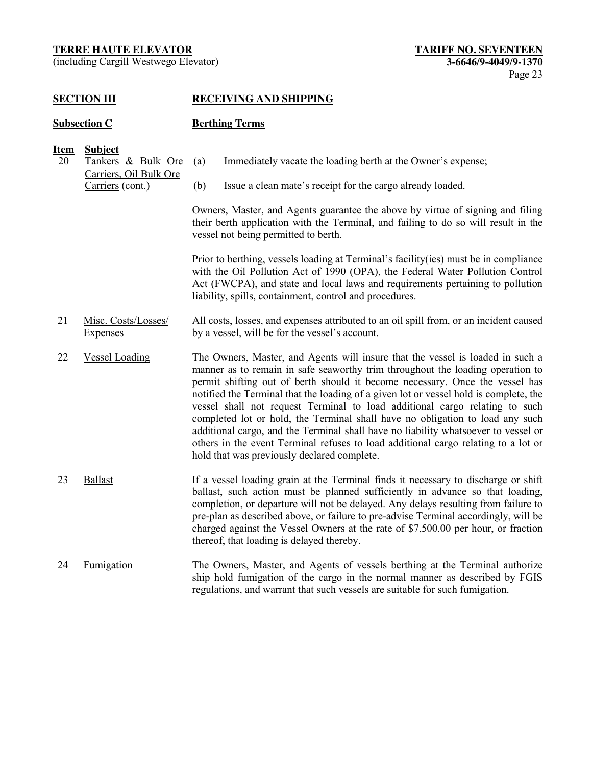(including Cargill Westwego Elevator) **3-6646/9-4049/9-1370**

#### **SECTION III RECEIVING AND SHIPPING**

#### **Subsection C Berthing Terms**

# **Item Subject**

- 20 Tankers & Bulk Ore Carriers, Oil Bulk Ore (a) Immediately vacate the loading berth at the Owner's expense;
	- Carriers (cont.) (b) Issue a clean mate's receipt for the cargo already loaded.

Owners, Master, and Agents guarantee the above by virtue of signing and filing their berth application with the Terminal, and failing to do so will result in the vessel not being permitted to berth.

Prior to berthing, vessels loading at Terminal's facility(ies) must be in compliance with the Oil Pollution Act of 1990 (OPA), the Federal Water Pollution Control Act (FWCPA), and state and local laws and requirements pertaining to pollution liability, spills, containment, control and procedures.

- 21 Misc. Costs/Losses/ **Expenses** All costs, losses, and expenses attributed to an oil spill from, or an incident caused by a vessel, will be for the vessel's account.
- 22 Vessel Loading The Owners, Master, and Agents will insure that the vessel is loaded in such a manner as to remain in safe seaworthy trim throughout the loading operation to permit shifting out of berth should it become necessary. Once the vessel has notified the Terminal that the loading of a given lot or vessel hold is complete, the vessel shall not request Terminal to load additional cargo relating to such completed lot or hold, the Terminal shall have no obligation to load any such additional cargo, and the Terminal shall have no liability whatsoever to vessel or others in the event Terminal refuses to load additional cargo relating to a lot or hold that was previously declared complete.
- 23 Ballast If a vessel loading grain at the Terminal finds it necessary to discharge or shift ballast, such action must be planned sufficiently in advance so that loading, completion, or departure will not be delayed. Any delays resulting from failure to pre-plan as described above, or failure to pre-advise Terminal accordingly, will be charged against the Vessel Owners at the rate of \$7,500.00 per hour, or fraction thereof, that loading is delayed thereby.
- 24 Fumigation The Owners, Master, and Agents of vessels berthing at the Terminal authorize ship hold fumigation of the cargo in the normal manner as described by FGIS regulations, and warrant that such vessels are suitable for such fumigation.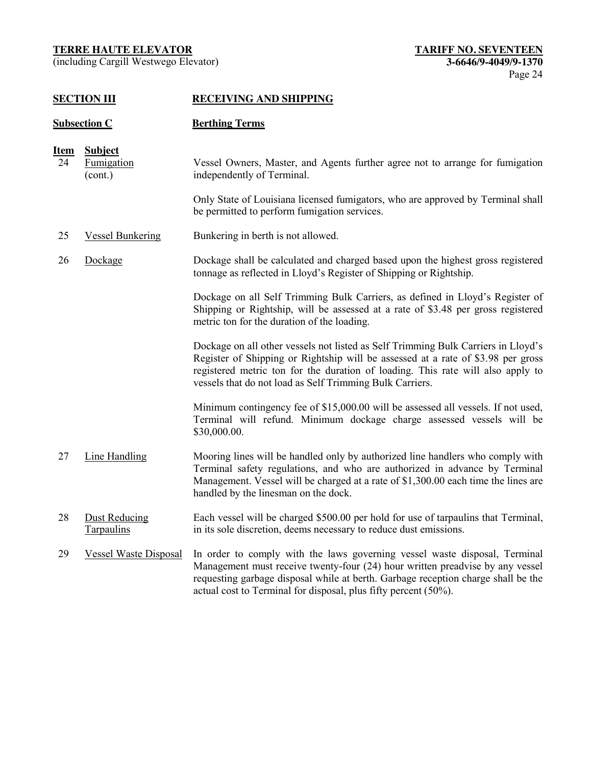(including Cargill Westwego Elevator) **3-6646/9-4049/9-1370**

# **SECTION III RECEIVING AND SHIPPING**

# **Subsection C Berthing Terms**

| <u>Item</u> | <b>Subject</b>                     |                                                                                                                                                                                                                                                                                                                      |
|-------------|------------------------------------|----------------------------------------------------------------------------------------------------------------------------------------------------------------------------------------------------------------------------------------------------------------------------------------------------------------------|
| 24          | <b>Fumigation</b><br>(cont.)       | Vessel Owners, Master, and Agents further agree not to arrange for fumigation<br>independently of Terminal.                                                                                                                                                                                                          |
|             |                                    | Only State of Louisiana licensed fumigators, who are approved by Terminal shall<br>be permitted to perform fumigation services.                                                                                                                                                                                      |
| 25          | <b>Vessel Bunkering</b>            | Bunkering in berth is not allowed.                                                                                                                                                                                                                                                                                   |
| 26          | Dockage                            | Dockage shall be calculated and charged based upon the highest gross registered<br>tonnage as reflected in Lloyd's Register of Shipping or Rightship.                                                                                                                                                                |
|             |                                    | Dockage on all Self Trimming Bulk Carriers, as defined in Lloyd's Register of<br>Shipping or Rightship, will be assessed at a rate of \$3.48 per gross registered<br>metric ton for the duration of the loading.                                                                                                     |
|             |                                    | Dockage on all other vessels not listed as Self Trimming Bulk Carriers in Lloyd's<br>Register of Shipping or Rightship will be assessed at a rate of \$3.98 per gross<br>registered metric ton for the duration of loading. This rate will also apply to<br>vessels that do not load as Self Trimming Bulk Carriers. |
|             |                                    | Minimum contingency fee of \$15,000.00 will be assessed all vessels. If not used,<br>Terminal will refund. Minimum dockage charge assessed vessels will be<br>\$30,000.00.                                                                                                                                           |
| 27          | Line Handling                      | Mooring lines will be handled only by authorized line handlers who comply with<br>Terminal safety regulations, and who are authorized in advance by Terminal<br>Management. Vessel will be charged at a rate of \$1,300.00 each time the lines are<br>handled by the linesman on the dock.                           |
| 28          | <b>Dust Reducing</b><br>Tarpaulins | Each vessel will be charged \$500.00 per hold for use of tarpaulins that Terminal,<br>in its sole discretion, deems necessary to reduce dust emissions.                                                                                                                                                              |
| 29          | <b>Vessel Waste Disposal</b>       | In order to comply with the laws governing vessel waste disposal, Terminal<br>Management must receive twenty-four (24) hour written preadvise by any vessel<br>requesting garbage disposal while at berth. Garbage reception charge shall be the<br>actual cost to Terminal for disposal, plus fifty percent (50%).  |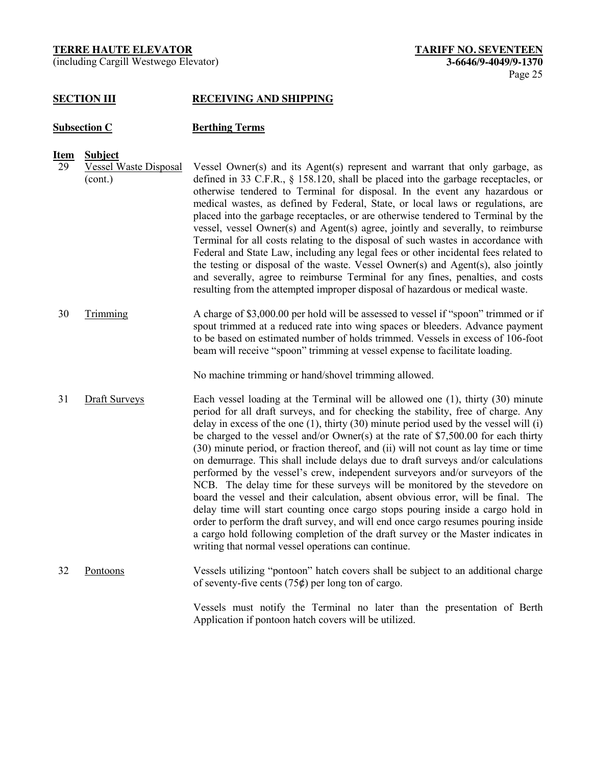(including Cargill Westwego Elevator) **3-6646/9-4049/9-1370**

#### **SECTION III RECEIVING AND SHIPPING**

# **Subsection C Berthing Terms**

- **Item Subject**
- 29 Vessel Waste Disposal (cont.) Vessel Owner(s) and its Agent(s) represent and warrant that only garbage, as defined in 33 C.F.R., § 158.120, shall be placed into the garbage receptacles, or otherwise tendered to Terminal for disposal. In the event any hazardous or medical wastes, as defined by Federal, State, or local laws or regulations, are placed into the garbage receptacles, or are otherwise tendered to Terminal by the vessel, vessel Owner(s) and Agent(s) agree, jointly and severally, to reimburse Terminal for all costs relating to the disposal of such wastes in accordance with Federal and State Law, including any legal fees or other incidental fees related to the testing or disposal of the waste. Vessel Owner(s) and Agent(s), also jointly and severally, agree to reimburse Terminal for any fines, penalties, and costs resulting from the attempted improper disposal of hazardous or medical waste.
- 30 Trimming A charge of \$3,000.00 per hold will be assessed to vessel if "spoon" trimmed or if spout trimmed at a reduced rate into wing spaces or bleeders. Advance payment to be based on estimated number of holds trimmed. Vessels in excess of 106-foot beam will receive "spoon" trimming at vessel expense to facilitate loading.

No machine trimming or hand/shovel trimming allowed.

- 31 Draft Surveys Each vessel loading at the Terminal will be allowed one (1), thirty (30) minute period for all draft surveys, and for checking the stability, free of charge. Any delay in excess of the one (1), thirty (30) minute period used by the vessel will (i) be charged to the vessel and/or Owner(s) at the rate of \$7,500.00 for each thirty (30) minute period, or fraction thereof, and (ii) will not count as lay time or time on demurrage. This shall include delays due to draft surveys and/or calculations performed by the vessel's crew, independent surveyors and/or surveyors of the NCB. The delay time for these surveys will be monitored by the stevedore on board the vessel and their calculation, absent obvious error, will be final. The delay time will start counting once cargo stops pouring inside a cargo hold in order to perform the draft survey, and will end once cargo resumes pouring inside a cargo hold following completion of the draft survey or the Master indicates in writing that normal vessel operations can continue.
- 32 Pontoons Vessels utilizing "pontoon" hatch covers shall be subject to an additional charge of seventy-five cents  $(75¢)$  per long ton of cargo.

Vessels must notify the Terminal no later than the presentation of Berth Application if pontoon hatch covers will be utilized.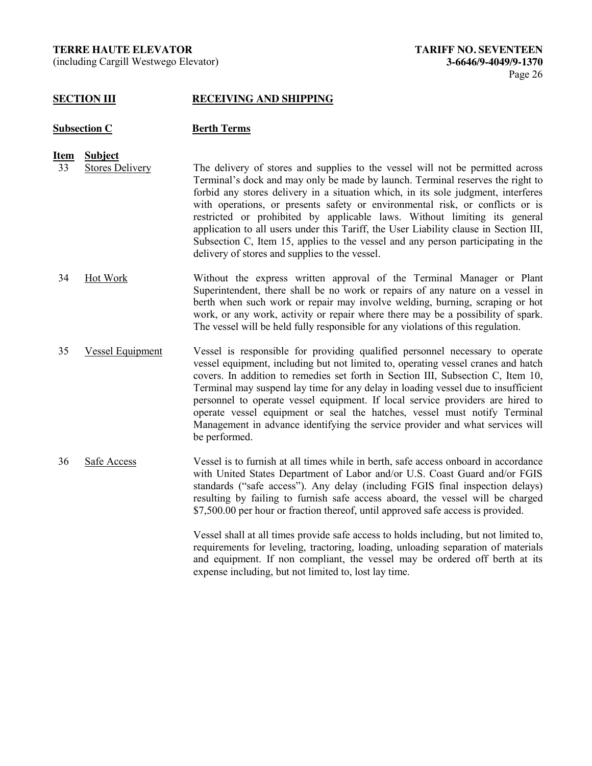(including Cargill Westwego Elevator) **3-6646/9-4049/9-1370**

#### **SECTION III RECEIVING AND SHIPPING**

#### **Subsection C Berth Terms**

- **Item Subject**
- 33 Stores Delivery The delivery of stores and supplies to the vessel will not be permitted across Terminal's dock and may only be made by launch. Terminal reserves the right to forbid any stores delivery in a situation which, in its sole judgment, interferes with operations, or presents safety or environmental risk, or conflicts or is restricted or prohibited by applicable laws. Without limiting its general application to all users under this Tariff, the User Liability clause in Section III, Subsection C, Item 15, applies to the vessel and any person participating in the delivery of stores and supplies to the vessel.
- 34 Hot Work Without the express written approval of the Terminal Manager or Plant Superintendent, there shall be no work or repairs of any nature on a vessel in berth when such work or repair may involve welding, burning, scraping or hot work, or any work, activity or repair where there may be a possibility of spark. The vessel will be held fully responsible for any violations of this regulation.
- 35 Vessel Equipment Vessel is responsible for providing qualified personnel necessary to operate vessel equipment, including but not limited to, operating vessel cranes and hatch covers. In addition to remedies set forth in Section III, Subsection C, Item 10, Terminal may suspend lay time for any delay in loading vessel due to insufficient personnel to operate vessel equipment. If local service providers are hired to operate vessel equipment or seal the hatches, vessel must notify Terminal Management in advance identifying the service provider and what services will be performed.
- 36 Safe Access Vessel is to furnish at all times while in berth, safe access onboard in accordance with United States Department of Labor and/or U.S. Coast Guard and/or FGIS standards ("safe access"). Any delay (including FGIS final inspection delays) resulting by failing to furnish safe access aboard, the vessel will be charged \$7,500.00 per hour or fraction thereof, until approved safe access is provided.

Vessel shall at all times provide safe access to holds including, but not limited to, requirements for leveling, tractoring, loading, unloading separation of materials and equipment. If non compliant, the vessel may be ordered off berth at its expense including, but not limited to, lost lay time.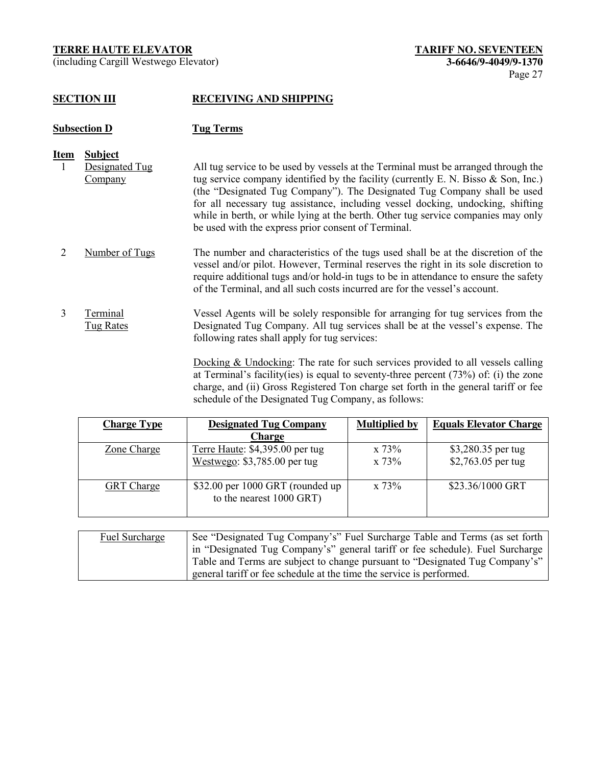(including Cargill Westwego Elevator) **3-6646/9-4049/9-1370**

# **SECTION III RECEIVING AND SHIPPING**

# **Subsection D Tug Terms**

- **Item Subject**
- 1 Designated Tug Company All tug service to be used by vessels at the Terminal must be arranged through the tug service company identified by the facility (currently E. N. Bisso & Son, Inc.) (the "Designated Tug Company"). The Designated Tug Company shall be used for all necessary tug assistance, including vessel docking, undocking, shifting while in berth, or while lying at the berth. Other tug service companies may only be used with the express prior consent of Terminal.
- 2 Number of Tugs The number and characteristics of the tugs used shall be at the discretion of the vessel and/or pilot. However, Terminal reserves the right in its sole discretion to require additional tugs and/or hold-in tugs to be in attendance to ensure the safety of the Terminal, and all such costs incurred are for the vessel's account.
- 3 Terminal Tug Rates Vessel Agents will be solely responsible for arranging for tug services from the Designated Tug Company. All tug services shall be at the vessel's expense. The following rates shall apply for tug services:

Docking & Undocking: The rate for such services provided to all vessels calling at Terminal's facility(ies) is equal to seventy-three percent (73%) of: (i) the zone charge, and (ii) Gross Registered Ton charge set forth in the general tariff or fee schedule of the Designated Tug Company, as follows:

| <b>Charge Type</b> | <b>Designated Tug Company</b>                                | <b>Multiplied by</b> | <b>Equals Elevator Charge</b> |
|--------------------|--------------------------------------------------------------|----------------------|-------------------------------|
|                    | Charge                                                       |                      |                               |
| Zone Charge        | Terre Haute: \$4,395.00 per tug                              | x 73%                | \$3,280.35 per tug            |
|                    | Westwego: $$3,785.00$ per tug                                | x 73%                | \$2,763.05 per tug            |
| <b>GRT</b> Charge  | \$32.00 per 1000 GRT (rounded up<br>to the nearest 1000 GRT) | x 73%                | \$23.36/1000 GRT              |

| Fuel Surcharge | See "Designated Tug Company's" Fuel Surcharge Table and Terms (as set forth   |
|----------------|-------------------------------------------------------------------------------|
|                | in "Designated Tug Company's" general tariff or fee schedule). Fuel Surcharge |
|                | Table and Terms are subject to change pursuant to "Designated Tug Company's"  |
|                | general tariff or fee schedule at the time the service is performed.          |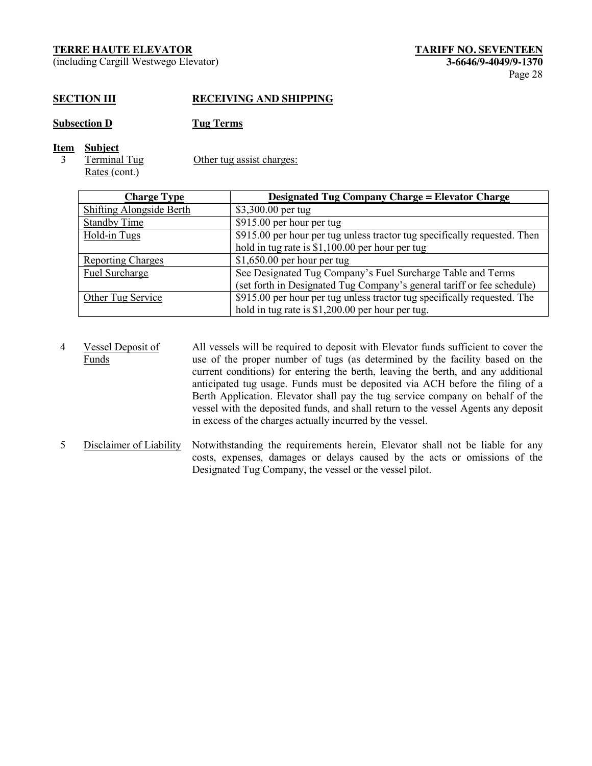(including Cargill Westwego Elevator) **3-6646/9-4049/9-1370**

# **SECTION III RECEIVING AND SHIPPING**

**Subsection D Tug Terms**

- **Item Subject**
	- 3 Terminal Tug Rates (cont.)

Other tug assist charges:

| <b>Charge Type</b>              | <b>Designated Tug Company Charge = Elevator Charge</b>                    |
|---------------------------------|---------------------------------------------------------------------------|
| <b>Shifting Alongside Berth</b> | \$3,300.00 per tug                                                        |
| <b>Standby Time</b>             | \$915.00 per hour per tug                                                 |
| Hold-in Tugs                    | \$915.00 per hour per tug unless tractor tug specifically requested. Then |
|                                 | hold in tug rate is \$1,100.00 per hour per tug                           |
| <b>Reporting Charges</b>        | $$1,650.00$ per hour per tug                                              |
| Fuel Surcharge                  | See Designated Tug Company's Fuel Surcharge Table and Terms               |
|                                 | (set forth in Designated Tug Company's general tariff or fee schedule)    |
| Other Tug Service               | \$915.00 per hour per tug unless tractor tug specifically requested. The  |
|                                 | hold in tug rate is \$1,200.00 per hour per tug.                          |

- 4 Vessel Deposit of Funds All vessels will be required to deposit with Elevator funds sufficient to cover the use of the proper number of tugs (as determined by the facility based on the current conditions) for entering the berth, leaving the berth, and any additional anticipated tug usage. Funds must be deposited via ACH before the filing of a Berth Application. Elevator shall pay the tug service company on behalf of the vessel with the deposited funds, and shall return to the vessel Agents any deposit in excess of the charges actually incurred by the vessel.
- 5 Disclaimer of Liability Notwithstanding the requirements herein, Elevator shall not be liable for any costs, expenses, damages or delays caused by the acts or omissions of the Designated Tug Company, the vessel or the vessel pilot.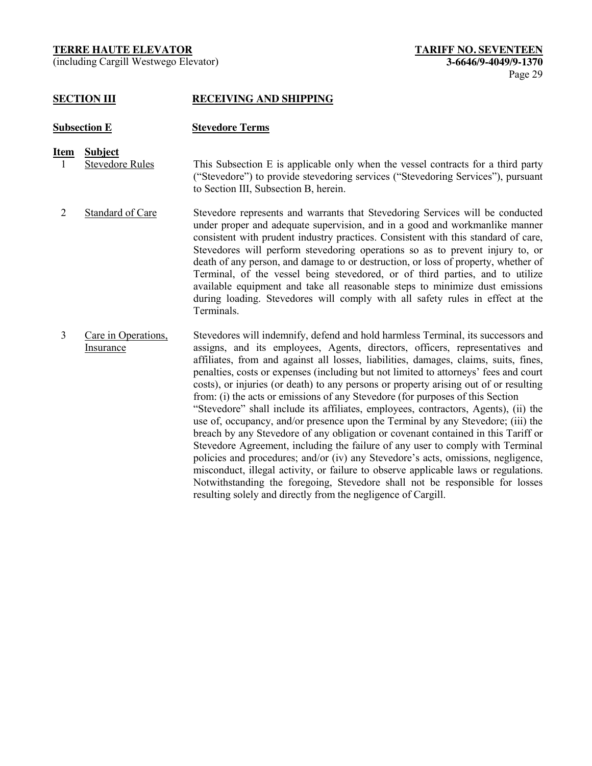(including Cargill Westwego Elevator) **3-6646/9-4049/9-1370**

# **SECTION III RECEIVING AND SHIPPING**

# **Subsection E Stevedore Terms**

# **Item Subject**

- 1 Stevedore Rules This Subsection E is applicable only when the vessel contracts for a third party ("Stevedore") to provide stevedoring services ("Stevedoring Services"), pursuant to Section III, Subsection B, herein.
- 2 Standard of Care Stevedore represents and warrants that Stevedoring Services will be conducted under proper and adequate supervision, and in a good and workmanlike manner consistent with prudent industry practices. Consistent with this standard of care, Stevedores will perform stevedoring operations so as to prevent injury to, or death of any person, and damage to or destruction, or loss of property, whether of Terminal, of the vessel being stevedored, or of third parties, and to utilize available equipment and take all reasonable steps to minimize dust emissions during loading. Stevedores will comply with all safety rules in effect at the Terminals.
- 3 Care in Operations, Insurance Stevedores will indemnify, defend and hold harmless Terminal, its successors and assigns, and its employees, Agents, directors, officers, representatives and affiliates, from and against all losses, liabilities, damages, claims, suits, fines, penalties, costs or expenses (including but not limited to attorneys' fees and court costs), or injuries (or death) to any persons or property arising out of or resulting from: (i) the acts or emissions of any Stevedore (for purposes of this Section "Stevedore" shall include its affiliates, employees, contractors, Agents), (ii) the use of, occupancy, and/or presence upon the Terminal by any Stevedore; (iii) the breach by any Stevedore of any obligation or covenant contained in this Tariff or Stevedore Agreement, including the failure of any user to comply with Terminal policies and procedures; and/or (iv) any Stevedore's acts, omissions, negligence, misconduct, illegal activity, or failure to observe applicable laws or regulations. Notwithstanding the foregoing, Stevedore shall not be responsible for losses resulting solely and directly from the negligence of Cargill.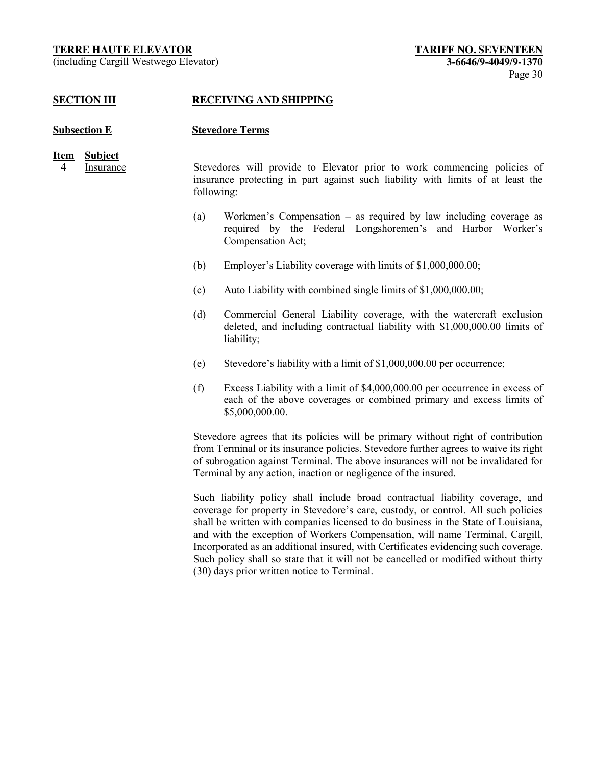(including Cargill Westwego Elevator) **3-6646/9-4049/9-1370**

#### **SECTION III RECEIVING AND SHIPPING**

#### **Subsection E Stevedore Terms**

# **Item Subject**

4 Insurance Stevedores will provide to Elevator prior to work commencing policies of insurance protecting in part against such liability with limits of at least the following:

- (a) Workmen's Compensation as required by law including coverage as required by the Federal Longshoremen's and Harbor Worker's Compensation Act;
- (b) Employer's Liability coverage with limits of \$1,000,000.00;
- (c) Auto Liability with combined single limits of \$1,000,000.00;
- (d) Commercial General Liability coverage, with the watercraft exclusion deleted, and including contractual liability with \$1,000,000.00 limits of liability;
- (e) Stevedore's liability with a limit of \$1,000,000.00 per occurrence;
- (f) Excess Liability with a limit of \$4,000,000.00 per occurrence in excess of each of the above coverages or combined primary and excess limits of \$5,000,000.00.

Stevedore agrees that its policies will be primary without right of contribution from Terminal or its insurance policies. Stevedore further agrees to waive its right of subrogation against Terminal. The above insurances will not be invalidated for Terminal by any action, inaction or negligence of the insured.

Such liability policy shall include broad contractual liability coverage, and coverage for property in Stevedore's care, custody, or control. All such policies shall be written with companies licensed to do business in the State of Louisiana, and with the exception of Workers Compensation, will name Terminal, Cargill, Incorporated as an additional insured, with Certificates evidencing such coverage. Such policy shall so state that it will not be cancelled or modified without thirty (30) days prior written notice to Terminal.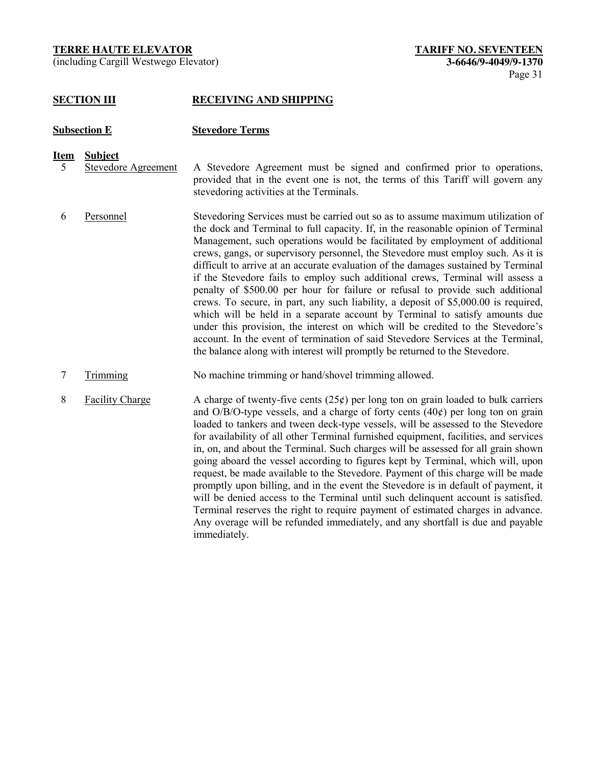(including Cargill Westwego Elevator) **3-6646/9-4049/9-1370**

#### **SECTION III RECEIVING AND SHIPPING**

#### **Subsection E Stevedore Terms**

#### **Item Subject**

- 5 Stevedore Agreement A Stevedore Agreement must be signed and confirmed prior to operations, provided that in the event one is not, the terms of this Tariff will govern any stevedoring activities at the Terminals.
- 6 Personnel Stevedoring Services must be carried out so as to assume maximum utilization of the dock and Terminal to full capacity. If, in the reasonable opinion of Terminal Management, such operations would be facilitated by employment of additional crews, gangs, or supervisory personnel, the Stevedore must employ such. As it is difficult to arrive at an accurate evaluation of the damages sustained by Terminal if the Stevedore fails to employ such additional crews, Terminal will assess a penalty of \$500.00 per hour for failure or refusal to provide such additional crews. To secure, in part, any such liability, a deposit of \$5,000.00 is required, which will be held in a separate account by Terminal to satisfy amounts due under this provision, the interest on which will be credited to the Stevedore's account. In the event of termination of said Stevedore Services at the Terminal, the balance along with interest will promptly be returned to the Stevedore.
- 7 Trimming No machine trimming or hand/shovel trimming allowed.
- 8 Facility Charge A charge of twenty-five cents  $(25¢)$  per long ton on grain loaded to bulk carriers and  $O/B/O$ -type vessels, and a charge of forty cents  $(40¢)$  per long ton on grain loaded to tankers and tween deck-type vessels, will be assessed to the Stevedore for availability of all other Terminal furnished equipment, facilities, and services in, on, and about the Terminal. Such charges will be assessed for all grain shown going aboard the vessel according to figures kept by Terminal, which will, upon request, be made available to the Stevedore. Payment of this charge will be made promptly upon billing, and in the event the Stevedore is in default of payment, it will be denied access to the Terminal until such delinquent account is satisfied. Terminal reserves the right to require payment of estimated charges in advance. Any overage will be refunded immediately, and any shortfall is due and payable immediately.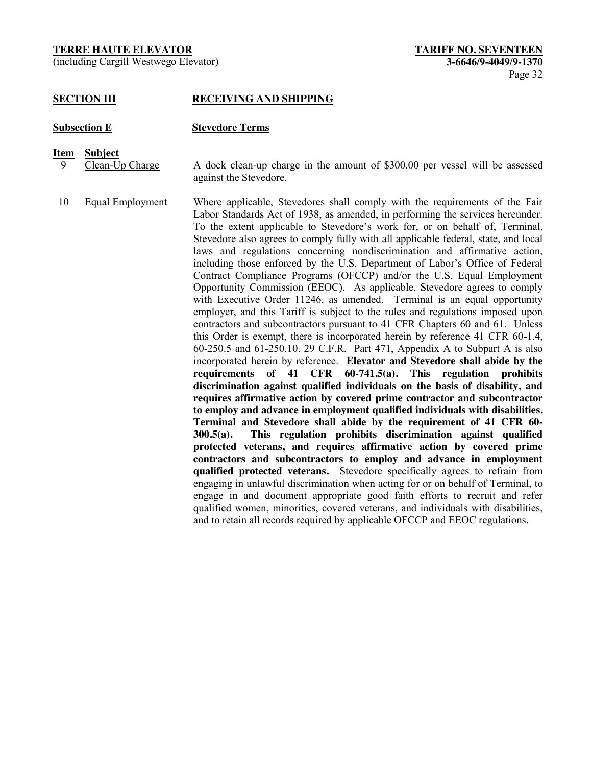(including Cargill Westwego Elevator) **3-6646/9-4049/9-1370**

#### **SECTION III RECEIVING AND SHIPPING**

#### **Subsection E Stevedore Terms**

- **Item Subject**
	- 9 Clean-Up Charge A dock clean-up charge in the amount of \$300.00 per vessel will be assessed against the Stevedore.
- 10 Equal Employment Where applicable, Stevedores shall comply with the requirements of the Fair Labor Standards Act of 1938, as amended, in performing the services hereunder. To the extent applicable to Stevedore's work for, or on behalf of, Terminal, Stevedore also agrees to comply fully with all applicable federal, state, and local laws and regulations concerning nondiscrimination and affirmative action, including those enforced by the U.S. Department of Labor's Office of Federal Contract Compliance Programs (OFCCP) and/or the U.S. Equal Employment Opportunity Commission (EEOC). As applicable, Stevedore agrees to comply with Executive Order 11246, as amended. Terminal is an equal opportunity employer, and this Tariff is subject to the rules and regulations imposed upon contractors and subcontractors pursuant to 41 CFR Chapters 60 and 61. Unless this Order is exempt, there is incorporated herein by reference 41 CFR 60-1.4, 60-250.5 and 61-250.10. 29 C.F.R. Part 471, Appendix A to Subpart A is also incorporated herein by reference. **Elevator and Stevedore shall abide by the requirements of 41 CFR 60-741.5(a). This regulation prohibits discrimination against qualified individuals on the basis of disability, and requires affirmative action by covered prime contractor and subcontractor to employ and advance in employment qualified individuals with disabilities. Terminal and Stevedore shall abide by the requirement of 41 CFR 60- 300.5(a). This regulation prohibits discrimination against qualified protected veterans, and requires affirmative action by covered prime contractors and subcontractors to employ and advance in employment qualified protected veterans.** Stevedore specifically agrees to refrain from engaging in unlawful discrimination when acting for or on behalf of Terminal, to engage in and document appropriate good faith efforts to recruit and refer qualified women, minorities, covered veterans, and individuals with disabilities, and to retain all records required by applicable OFCCP and EEOC regulations.